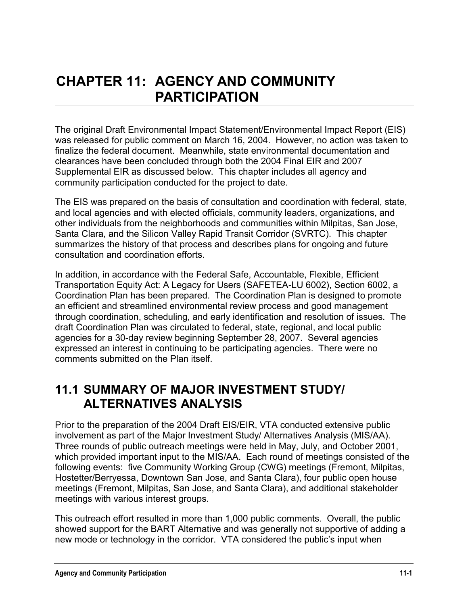# **CHAPTER 11: AGENCY AND COMMUNITY PARTICIPATION**

The original Draft Environmental Impact Statement/Environmental Impact Report (EIS) was released for public comment on March 16, 2004. However, no action was taken to finalize the federal document. Meanwhile, state environmental documentation and clearances have been concluded through both the 2004 Final EIR and 2007 Supplemental EIR as discussed below. This chapter includes all agency and community participation conducted for the project to date.

The EIS was prepared on the basis of consultation and coordination with federal, state, and local agencies and with elected officials, community leaders, organizations, and other individuals from the neighborhoods and communities within Milpitas, San Jose, Santa Clara, and the Silicon Valley Rapid Transit Corridor (SVRTC). This chapter summarizes the history of that process and describes plans for ongoing and future consultation and coordination efforts.

In addition, in accordance with the Federal Safe, Accountable, Flexible, Efficient Transportation Equity Act: A Legacy for Users (SAFETEA-LU 6002), Section 6002, a Coordination Plan has been prepared. The Coordination Plan is designed to promote an efficient and streamlined environmental review process and good management through coordination, scheduling, and early identification and resolution of issues. The draft Coordination Plan was circulated to federal, state, regional, and local public agencies for a 30-day review beginning September 28, 2007. Several agencies expressed an interest in continuing to be participating agencies. There were no comments submitted on the Plan itself.

## **11.1 SUMMARY OF MAJOR INVESTMENT STUDY/ ALTERNATIVES ANALYSIS**

Prior to the preparation of the 2004 Draft EIS/EIR, VTA conducted extensive public involvement as part of the Major Investment Study/ Alternatives Analysis (MIS/AA). Three rounds of public outreach meetings were held in May, July, and October 2001, which provided important input to the MIS/AA. Each round of meetings consisted of the following events: five Community Working Group (CWG) meetings (Fremont, Milpitas, Hostetter/Berryessa, Downtown San Jose, and Santa Clara), four public open house meetings (Fremont, Milpitas, San Jose, and Santa Clara), and additional stakeholder meetings with various interest groups.

This outreach effort resulted in more than 1,000 public comments. Overall, the public showed support for the BART Alternative and was generally not supportive of adding a new mode or technology in the corridor. VTA considered the public's input when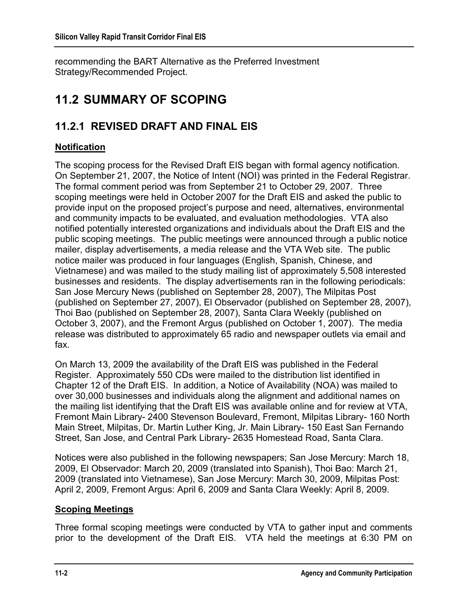recommending the BART Alternative as the Preferred Investment Strategy/Recommended Project.

# **11.2 SUMMARY OF SCOPING**

## **11.2.1 REVISED DRAFT AND FINAL EIS**

### **Notification**

The scoping process for the Revised Draft EIS began with formal agency notification. On September 21, 2007, the Notice of Intent (NOI) was printed in the Federal Registrar. The formal comment period was from September 21 to October 29, 2007. Three scoping meetings were held in October 2007 for the Draft EIS and asked the public to provide input on the proposed project's purpose and need, alternatives, environmental and community impacts to be evaluated, and evaluation methodologies. VTA also notified potentially interested organizations and individuals about the Draft EIS and the public scoping meetings. The public meetings were announced through a public notice mailer, display advertisements, a media release and the VTA Web site. The public notice mailer was produced in four languages (English, Spanish, Chinese, and Vietnamese) and was mailed to the study mailing list of approximately 5,508 interested businesses and residents. The display advertisements ran in the following periodicals: San Jose Mercury News (published on September 28, 2007), The Milpitas Post (published on September 27, 2007), El Observador (published on September 28, 2007), Thoi Bao (published on September 28, 2007), Santa Clara Weekly (published on October 3, 2007), and the Fremont Argus (published on October 1, 2007). The media release was distributed to approximately 65 radio and newspaper outlets via email and fax.

On March 13, 2009 the availability of the Draft EIS was published in the Federal Register. Approximately 550 CDs were mailed to the distribution list identified in Chapter 12 of the Draft EIS. In addition, a Notice of Availability (NOA) was mailed to over 30,000 businesses and individuals along the alignment and additional names on the mailing list identifying that the Draft EIS was available online and for review at VTA, Fremont Main Library- 2400 Stevenson Boulevard, Fremont, Milpitas Library- 160 North Main Street, Milpitas, Dr. Martin Luther King, Jr. Main Library- 150 East San Fernando Street, San Jose, and Central Park Library- 2635 Homestead Road, Santa Clara.

Notices were also published in the following newspapers; San Jose Mercury: March 18, 2009, El Observador: March 20, 2009 (translated into Spanish), Thoi Bao: March 21, 2009 (translated into Vietnamese), San Jose Mercury: March 30, 2009, Milpitas Post: April 2, 2009, Fremont Argus: April 6, 2009 and Santa Clara Weekly: April 8, 2009.

### **Scoping Meetings**

Three formal scoping meetings were conducted by VTA to gather input and comments prior to the development of the Draft EIS. VTA held the meetings at 6:30 PM on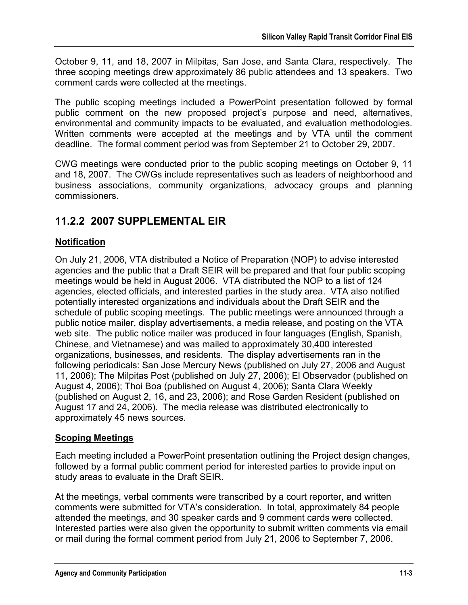October 9, 11, and 18, 2007 in Milpitas, San Jose, and Santa Clara, respectively. The three scoping meetings drew approximately 86 public attendees and 13 speakers. Two comment cards were collected at the meetings.

The public scoping meetings included a PowerPoint presentation followed by formal public comment on the new proposed project's purpose and need, alternatives, environmental and community impacts to be evaluated, and evaluation methodologies. Written comments were accepted at the meetings and by VTA until the comment deadline. The formal comment period was from September 21 to October 29, 2007.

CWG meetings were conducted prior to the public scoping meetings on October 9, 11 and 18, 2007. The CWGs include representatives such as leaders of neighborhood and business associations, community organizations, advocacy groups and planning commissioners.

### **11.2.2 2007 SUPPLEMENTAL EIR**

### **Notification**

On July 21, 2006, VTA distributed a Notice of Preparation (NOP) to advise interested agencies and the public that a Draft SEIR will be prepared and that four public scoping meetings would be held in August 2006. VTA distributed the NOP to a list of 124 agencies, elected officials, and interested parties in the study area. VTA also notified potentially interested organizations and individuals about the Draft SEIR and the schedule of public scoping meetings. The public meetings were announced through a public notice mailer, display advertisements, a media release, and posting on the VTA web site. The public notice mailer was produced in four languages (English, Spanish, Chinese, and Vietnamese) and was mailed to approximately 30,400 interested organizations, businesses, and residents. The display advertisements ran in the following periodicals: San Jose Mercury News (published on July 27, 2006 and August 11, 2006); The Milpitas Post (published on July 27, 2006); El Observador (published on August 4, 2006); Thoi Boa (published on August 4, 2006); Santa Clara Weekly (published on August 2, 16, and 23, 2006); and Rose Garden Resident (published on August 17 and 24, 2006). The media release was distributed electronically to approximately 45 news sources.

### **Scoping Meetings**

Each meeting included a PowerPoint presentation outlining the Project design changes, followed by a formal public comment period for interested parties to provide input on study areas to evaluate in the Draft SEIR.

At the meetings, verbal comments were transcribed by a court reporter, and written comments were submitted for VTA's consideration. In total, approximately 84 people attended the meetings, and 30 speaker cards and 9 comment cards were collected. Interested parties were also given the opportunity to submit written comments via email or mail during the formal comment period from July 21, 2006 to September 7, 2006.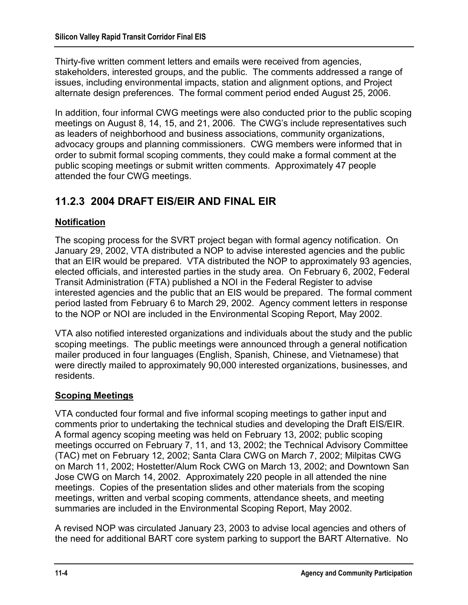Thirty-five written comment letters and emails were received from agencies, stakeholders, interested groups, and the public. The comments addressed a range of issues, including environmental impacts, station and alignment options, and Project alternate design preferences. The formal comment period ended August 25, 2006.

In addition, four informal CWG meetings were also conducted prior to the public scoping meetings on August 8, 14, 15, and 21, 2006. The CWG's include representatives such as leaders of neighborhood and business associations, community organizations, advocacy groups and planning commissioners. CWG members were informed that in order to submit formal scoping comments, they could make a formal comment at the public scoping meetings or submit written comments. Approximately 47 people attended the four CWG meetings.

### **11.2.3 2004 DRAFT EIS/EIR AND FINAL EIR**

### **Notification**

The scoping process for the SVRT project began with formal agency notification. On January 29, 2002, VTA distributed a NOP to advise interested agencies and the public that an EIR would be prepared. VTA distributed the NOP to approximately 93 agencies, elected officials, and interested parties in the study area. On February 6, 2002, Federal Transit Administration (FTA) published a NOI in the Federal Register to advise interested agencies and the public that an EIS would be prepared. The formal comment period lasted from February 6 to March 29, 2002. Agency comment letters in response to the NOP or NOI are included in the Environmental Scoping Report, May 2002.

VTA also notified interested organizations and individuals about the study and the public scoping meetings. The public meetings were announced through a general notification mailer produced in four languages (English, Spanish, Chinese, and Vietnamese) that were directly mailed to approximately 90,000 interested organizations, businesses, and residents.

### **Scoping Meetings**

VTA conducted four formal and five informal scoping meetings to gather input and comments prior to undertaking the technical studies and developing the Draft EIS/EIR. A formal agency scoping meeting was held on February 13, 2002; public scoping meetings occurred on February 7, 11, and 13, 2002; the Technical Advisory Committee (TAC) met on February 12, 2002; Santa Clara CWG on March 7, 2002; Milpitas CWG on March 11, 2002; Hostetter/Alum Rock CWG on March 13, 2002; and Downtown San Jose CWG on March 14, 2002. Approximately 220 people in all attended the nine meetings. Copies of the presentation slides and other materials from the scoping meetings, written and verbal scoping comments, attendance sheets, and meeting summaries are included in the Environmental Scoping Report, May 2002.

A revised NOP was circulated January 23, 2003 to advise local agencies and others of the need for additional BART core system parking to support the BART Alternative. No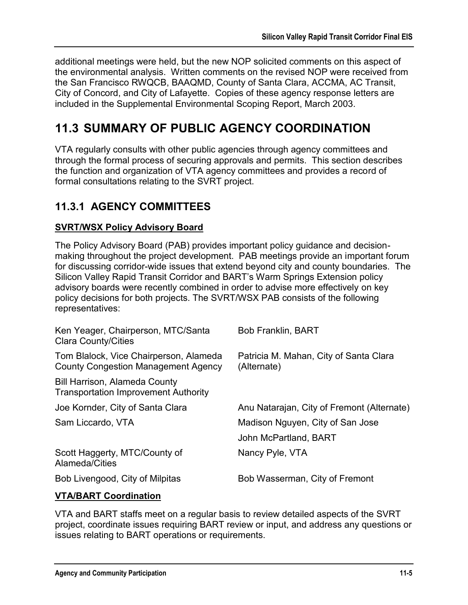additional meetings were held, but the new NOP solicited comments on this aspect of the environmental analysis. Written comments on the revised NOP were received from the San Francisco RWQCB, BAAQMD, County of Santa Clara, ACCMA, AC Transit, City of Concord, and City of Lafayette. Copies of these agency response letters are included in the Supplemental Environmental Scoping Report, March 2003.

# **11.3 SUMMARY OF PUBLIC AGENCY COORDINATION**

VTA regularly consults with other public agencies through agency committees and through the formal process of securing approvals and permits. This section describes the function and organization of VTA agency committees and provides a record of formal consultations relating to the SVRT project.

### **11.3.1 AGENCY COMMITTEES**

### **SVRT/WSX Policy Advisory Board**

The Policy Advisory Board (PAB) provides important policy guidance and decisionmaking throughout the project development. PAB meetings provide an important forum for discussing corridor-wide issues that extend beyond city and county boundaries. The Silicon Valley Rapid Transit Corridor and BART's Warm Springs Extension policy advisory boards were recently combined in order to advise more effectively on key policy decisions for both projects. The SVRT/WSX PAB consists of the following representatives:

| Ken Yeager, Chairperson, MTC/Santa<br><b>Clara County/Cities</b>                     | <b>Bob Franklin, BART</b>                             |
|--------------------------------------------------------------------------------------|-------------------------------------------------------|
| Tom Blalock, Vice Chairperson, Alameda<br><b>County Congestion Management Agency</b> | Patricia M. Mahan, City of Santa Clara<br>(Alternate) |
| <b>Bill Harrison, Alameda County</b><br><b>Transportation Improvement Authority</b>  |                                                       |
| Joe Kornder, City of Santa Clara                                                     | Anu Natarajan, City of Fremont (Alternate)            |
| Sam Liccardo, VTA                                                                    | Madison Nguyen, City of San Jose                      |
|                                                                                      | John McPartland, BART                                 |
| Scott Haggerty, MTC/County of<br>Alameda/Cities                                      | Nancy Pyle, VTA                                       |
| Bob Livengood, City of Milpitas                                                      | Bob Wasserman, City of Fremont                        |
|                                                                                      |                                                       |

### **VTA/BART Coordination**

VTA and BART staffs meet on a regular basis to review detailed aspects of the SVRT project, coordinate issues requiring BART review or input, and address any questions or issues relating to BART operations or requirements.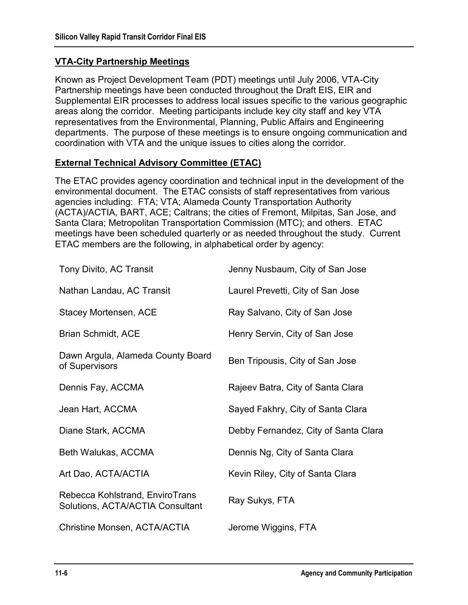### **VTA-City Partnership Meetings**

Known as Project Development Team (PDT) meetings until July 2006, VTA-City Partnership meetings have been conducted throughout the Draft EIS, EIR and Supplemental EIR processes to address local issues specific to the various geographic areas along the corridor. Meeting participants include key city staff and key VTA representatives from the Environmental, Planning, Public Affairs and Engineering departments. The purpose of these meetings is to ensure ongoing communication and coordination with VTA and the unique issues to cities along the corridor.

### **External Technical Advisory Committee (ETAC)**

The ETAC provides agency coordination and technical input in the development of the environmental document. The ETAC consists of staff representatives from various agencies including: FTA; VTA; Alameda County Transportation Authority (ACTA)/ACTIA, BART, ACE; Caltrans; the cities of Fremont, Milpitas, San Jose, and Santa Clara; Metropolitan Transportation Commission (MTC); and others. ETAC meetings have been scheduled quarterly or as needed throughout the study. Current ETAC members are the following, in alphabetical order by agency:

| Tony Divito, AC Transit                                             | Jenny Nusbaum, City of San Jose      |
|---------------------------------------------------------------------|--------------------------------------|
| Nathan Landau, AC Transit                                           | Laurel Prevetti, City of San Jose    |
| Stacey Mortensen, ACE                                               | Ray Salvano, City of San Jose        |
| <b>Brian Schmidt, ACE</b>                                           | Henry Servin, City of San Jose       |
| Dawn Argula, Alameda County Board<br>of Supervisors                 | Ben Tripousis, City of San Jose      |
| Dennis Fay, ACCMA                                                   | Rajeev Batra, City of Santa Clara    |
| Jean Hart, ACCMA                                                    | Sayed Fakhry, City of Santa Clara    |
| Diane Stark, ACCMA                                                  | Debby Fernandez, City of Santa Clara |
| Beth Walukas, ACCMA                                                 | Dennis Ng, City of Santa Clara       |
| Art Dao, ACTA/ACTIA                                                 | Kevin Riley, City of Santa Clara     |
| Rebecca Kohlstrand, EnviroTrans<br>Solutions, ACTA/ACTIA Consultant | Ray Sukys, FTA                       |
| Christine Monsen, ACTA/ACTIA                                        | Jerome Wiggins, FTA                  |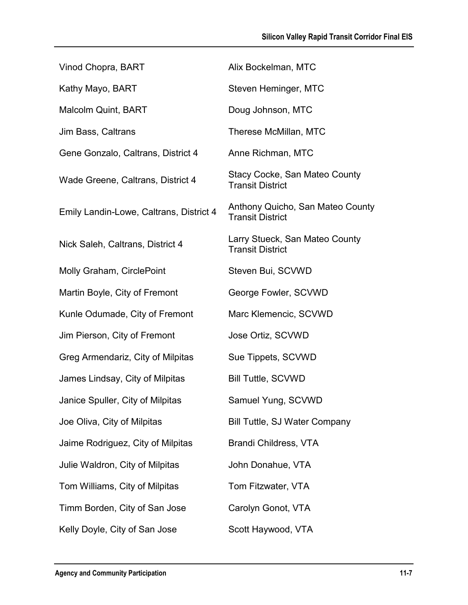| Vinod Chopra, BART                      | Alix Bockelman, MTC                                             |
|-----------------------------------------|-----------------------------------------------------------------|
| Kathy Mayo, BART                        | Steven Heminger, MTC                                            |
| <b>Malcolm Quint, BART</b>              | Doug Johnson, MTC                                               |
| Jim Bass, Caltrans                      | Therese McMillan, MTC                                           |
| Gene Gonzalo, Caltrans, District 4      | Anne Richman, MTC                                               |
| Wade Greene, Caltrans, District 4       | <b>Stacy Cocke, San Mateo County</b><br><b>Transit District</b> |
| Emily Landin-Lowe, Caltrans, District 4 | Anthony Quicho, San Mateo County<br><b>Transit District</b>     |
| Nick Saleh, Caltrans, District 4        | Larry Stueck, San Mateo County<br><b>Transit District</b>       |
| Molly Graham, CirclePoint               | Steven Bui, SCVWD                                               |
| Martin Boyle, City of Fremont           | George Fowler, SCVWD                                            |
| Kunle Odumade, City of Fremont          | Marc Klemencic, SCVWD                                           |
| Jim Pierson, City of Fremont            | Jose Ortiz, SCVWD                                               |
| Greg Armendariz, City of Milpitas       | Sue Tippets, SCVWD                                              |
| James Lindsay, City of Milpitas         | <b>Bill Tuttle, SCVWD</b>                                       |
| Janice Spuller, City of Milpitas        | Samuel Yung, SCVWD                                              |
| Joe Oliva, City of Milpitas             | Bill Tuttle, SJ Water Company                                   |
| Jaime Rodriguez, City of Milpitas       | Brandi Childress, VTA                                           |
| Julie Waldron, City of Milpitas         | John Donahue, VTA                                               |
| Tom Williams, City of Milpitas          | Tom Fitzwater, VTA                                              |
| Timm Borden, City of San Jose           | Carolyn Gonot, VTA                                              |
| Kelly Doyle, City of San Jose           | Scott Haywood, VTA                                              |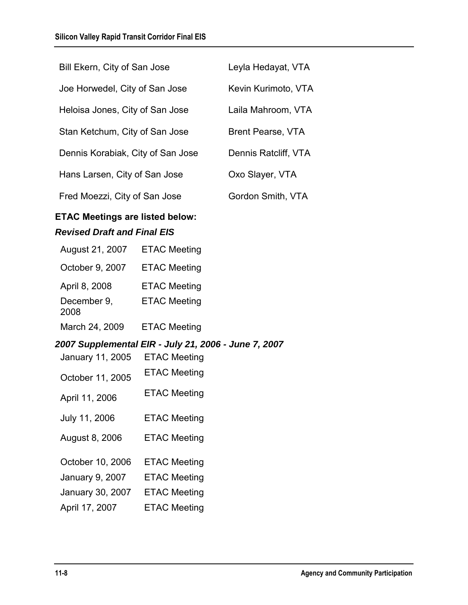| Bill Ekern, City of San Jose      | Leyla Hedayat, VTA   |
|-----------------------------------|----------------------|
| Joe Horwedel, City of San Jose    | Kevin Kurimoto, VTA  |
| Heloisa Jones, City of San Jose   | Laila Mahroom, VTA   |
| Stan Ketchum, City of San Jose    | Brent Pearse, VTA    |
| Dennis Korabiak, City of San Jose | Dennis Ratcliff, VTA |
| Hans Larsen, City of San Jose     | Oxo Slayer, VTA      |
| Fred Moezzi, City of San Jose     | Gordon Smith, VTA    |

### **ETAC Meetings are listed below:**  *Revised Draft and Final EIS*

| August 21, 2007     | <b>ETAC Meeting</b> |
|---------------------|---------------------|
| October 9, 2007     | <b>ETAC Meeting</b> |
| April 8, 2008       | <b>ETAC Meeting</b> |
| December 9,<br>2008 | <b>ETAC Meeting</b> |
| March 24, 2009      | <b>ETAC Meeting</b> |

#### *2007 Supplemental EIR - July 21, 2006 - June 7, 2007*

| January 11, 2005 | <b>ETAC Meeting</b> |
|------------------|---------------------|
| October 11, 2005 | <b>ETAC Meeting</b> |
| April 11, 2006   | <b>ETAC Meeting</b> |
| July 11, 2006    | <b>ETAC Meeting</b> |
| August 8, 2006   | <b>ETAC Meeting</b> |
| October 10, 2006 | <b>ETAC Meeting</b> |
| January 9, 2007  | <b>ETAC Meeting</b> |
| January 30, 2007 | <b>ETAC Meeting</b> |
| April 17, 2007   | <b>ETAC Meeting</b> |
|                  |                     |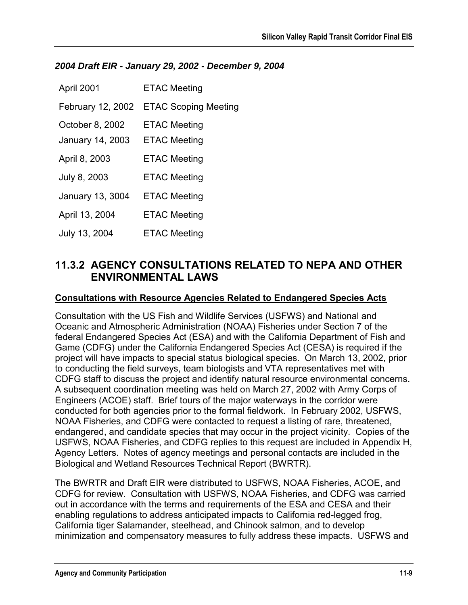#### *2004 Draft EIR - January 29, 2002 - December 9, 2004*

| April 2001        | <b>ETAC Meeting</b>         |
|-------------------|-----------------------------|
| February 12, 2002 | <b>ETAC Scoping Meeting</b> |
| October 8, 2002   | <b>ETAC Meeting</b>         |
| January 14, 2003  | <b>ETAC Meeting</b>         |
| April 8, 2003     | <b>ETAC Meeting</b>         |
| July 8, 2003      | <b>ETAC Meeting</b>         |
| January 13, 3004  | <b>ETAC Meeting</b>         |
| April 13, 2004    | <b>ETAC Meeting</b>         |
| July 13, 2004     | <b>ETAC Meeting</b>         |

### **11.3.2 AGENCY CONSULTATIONS RELATED TO NEPA AND OTHER ENVIRONMENTAL LAWS**

#### **Consultations with Resource Agencies Related to Endangered Species Acts**

Consultation with the US Fish and Wildlife Services (USFWS) and National and Oceanic and Atmospheric Administration (NOAA) Fisheries under Section 7 of the federal Endangered Species Act (ESA) and with the California Department of Fish and Game (CDFG) under the California Endangered Species Act (CESA) is required if the project will have impacts to special status biological species. On March 13, 2002, prior to conducting the field surveys, team biologists and VTA representatives met with CDFG staff to discuss the project and identify natural resource environmental concerns. A subsequent coordination meeting was held on March 27, 2002 with Army Corps of Engineers (ACOE) staff. Brief tours of the major waterways in the corridor were conducted for both agencies prior to the formal fieldwork. In February 2002, USFWS, NOAA Fisheries, and CDFG were contacted to request a listing of rare, threatened, endangered, and candidate species that may occur in the project vicinity. Copies of the USFWS, NOAA Fisheries, and CDFG replies to this request are included in Appendix H, Agency Letters. Notes of agency meetings and personal contacts are included in the Biological and Wetland Resources Technical Report (BWRTR).

The BWRTR and Draft EIR were distributed to USFWS, NOAA Fisheries, ACOE, and CDFG for review. Consultation with USFWS, NOAA Fisheries, and CDFG was carried out in accordance with the terms and requirements of the ESA and CESA and their enabling regulations to address anticipated impacts to California red-legged frog, California tiger Salamander, steelhead, and Chinook salmon, and to develop minimization and compensatory measures to fully address these impacts. USFWS and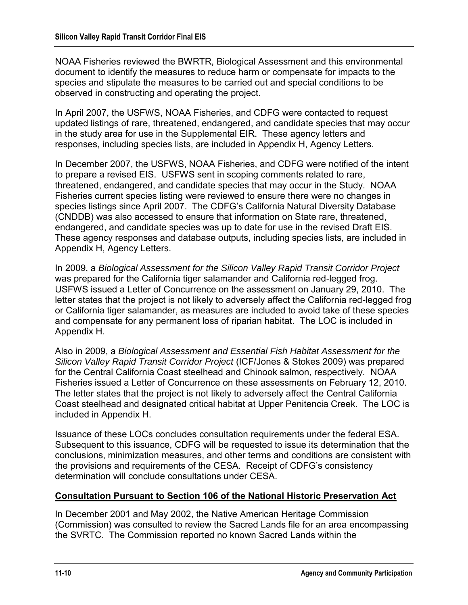NOAA Fisheries reviewed the BWRTR, Biological Assessment and this environmental document to identify the measures to reduce harm or compensate for impacts to the species and stipulate the measures to be carried out and special conditions to be observed in constructing and operating the project.

In April 2007, the USFWS, NOAA Fisheries, and CDFG were contacted to request updated listings of rare, threatened, endangered, and candidate species that may occur in the study area for use in the Supplemental EIR. These agency letters and responses, including species lists, are included in Appendix H, Agency Letters.

In December 2007, the USFWS, NOAA Fisheries, and CDFG were notified of the intent to prepare a revised EIS. USFWS sent in scoping comments related to rare, threatened, endangered, and candidate species that may occur in the Study. NOAA Fisheries current species listing were reviewed to ensure there were no changes in species listings since April 2007. The CDFG's California Natural Diversity Database (CNDDB) was also accessed to ensure that information on State rare, threatened, endangered, and candidate species was up to date for use in the revised Draft EIS. These agency responses and database outputs, including species lists, are included in Appendix H, Agency Letters.

In 2009, a *Biological Assessment for the Silicon Valley Rapid Transit Corridor Project* was prepared for the California tiger salamander and California red-legged frog. USFWS issued a Letter of Concurrence on the assessment on January 29, 2010. The letter states that the project is not likely to adversely affect the California red-legged frog or California tiger salamander, as measures are included to avoid take of these species and compensate for any permanent loss of riparian habitat. The LOC is included in Appendix H.

Also in 2009, a *Biological Assessment and Essential Fish Habitat Assessment for the Silicon Valley Rapid Transit Corridor Project* (ICF/Jones & Stokes 2009) was prepared for the Central California Coast steelhead and Chinook salmon, respectively. NOAA Fisheries issued a Letter of Concurrence on these assessments on February 12, 2010. The letter states that the project is not likely to adversely affect the Central California Coast steelhead and designated critical habitat at Upper Penitencia Creek. The LOC is included in Appendix H.

Issuance of these LOCs concludes consultation requirements under the federal ESA. Subsequent to this issuance, CDFG will be requested to issue its determination that the conclusions, minimization measures, and other terms and conditions are consistent with the provisions and requirements of the CESA. Receipt of CDFG's consistency determination will conclude consultations under CESA.

### **Consultation Pursuant to Section 106 of the National Historic Preservation Act**

In December 2001 and May 2002, the Native American Heritage Commission (Commission) was consulted to review the Sacred Lands file for an area encompassing the SVRTC. The Commission reported no known Sacred Lands within the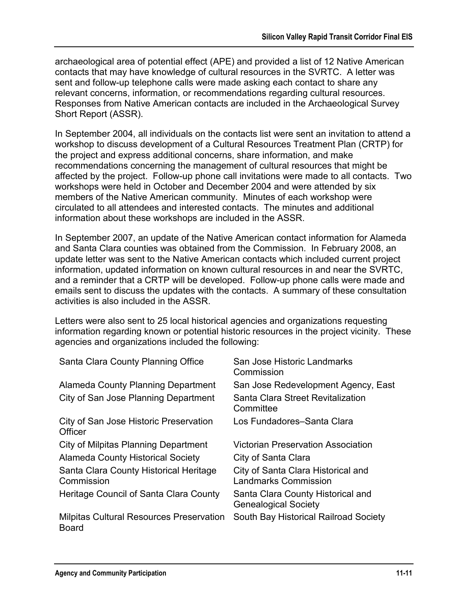archaeological area of potential effect (APE) and provided a list of 12 Native American contacts that may have knowledge of cultural resources in the SVRTC. A letter was sent and follow-up telephone calls were made asking each contact to share any relevant concerns, information, or recommendations regarding cultural resources. Responses from Native American contacts are included in the Archaeological Survey Short Report (ASSR).

In September 2004, all individuals on the contacts list were sent an invitation to attend a workshop to discuss development of a Cultural Resources Treatment Plan (CRTP) for the project and express additional concerns, share information, and make recommendations concerning the management of cultural resources that might be affected by the project. Follow-up phone call invitations were made to all contacts. Two workshops were held in October and December 2004 and were attended by six members of the Native American community. Minutes of each workshop were circulated to all attendees and interested contacts. The minutes and additional information about these workshops are included in the ASSR.

In September 2007, an update of the Native American contact information for Alameda and Santa Clara counties was obtained from the Commission. In February 2008, an update letter was sent to the Native American contacts which included current project information, updated information on known cultural resources in and near the SVRTC, and a reminder that a CRTP will be developed. Follow-up phone calls were made and emails sent to discuss the updates with the contacts. A summary of these consultation activities is also included in the ASSR.

Letters were also sent to 25 local historical agencies and organizations requesting information regarding known or potential historic resources in the project vicinity. These agencies and organizations included the following:

| Santa Clara County Planning Office                              | San Jose Historic Landmarks<br>Commission                        |
|-----------------------------------------------------------------|------------------------------------------------------------------|
| Alameda County Planning Department                              | San Jose Redevelopment Agency, East                              |
| City of San Jose Planning Department                            | Santa Clara Street Revitalization<br>Committee                   |
| City of San Jose Historic Preservation<br>Officer               | Los Fundadores-Santa Clara                                       |
| City of Milpitas Planning Department                            | <b>Victorian Preservation Association</b>                        |
| <b>Alameda County Historical Society</b>                        | City of Santa Clara                                              |
| Santa Clara County Historical Heritage<br>Commission            | City of Santa Clara Historical and<br>Landmarks Commission       |
| Heritage Council of Santa Clara County                          | Santa Clara County Historical and<br><b>Genealogical Society</b> |
| <b>Milpitas Cultural Resources Preservation</b><br><b>Board</b> | South Bay Historical Railroad Society                            |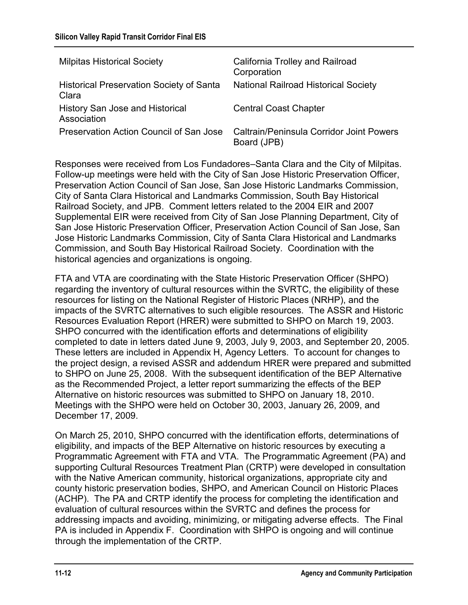| <b>Milpitas Historical Society</b>                       | California Trolley and Railroad<br>Corporation                 |
|----------------------------------------------------------|----------------------------------------------------------------|
| <b>Historical Preservation Society of Santa</b><br>Clara | <b>National Railroad Historical Society</b>                    |
| History San Jose and Historical<br>Association           | <b>Central Coast Chapter</b>                                   |
| Preservation Action Council of San Jose                  | <b>Caltrain/Peninsula Corridor Joint Powers</b><br>Board (JPB) |

Responses were received from Los Fundadores–Santa Clara and the City of Milpitas. Follow-up meetings were held with the City of San Jose Historic Preservation Officer, Preservation Action Council of San Jose, San Jose Historic Landmarks Commission, City of Santa Clara Historical and Landmarks Commission, South Bay Historical Railroad Society, and JPB. Comment letters related to the 2004 EIR and 2007 Supplemental EIR were received from City of San Jose Planning Department, City of San Jose Historic Preservation Officer, Preservation Action Council of San Jose, San Jose Historic Landmarks Commission, City of Santa Clara Historical and Landmarks Commission, and South Bay Historical Railroad Society. Coordination with the historical agencies and organizations is ongoing.

FTA and VTA are coordinating with the State Historic Preservation Officer (SHPO) regarding the inventory of cultural resources within the SVRTC, the eligibility of these resources for listing on the National Register of Historic Places (NRHP), and the impacts of the SVRTC alternatives to such eligible resources. The ASSR and Historic Resources Evaluation Report (HRER) were submitted to SHPO on March 19, 2003. SHPO concurred with the identification efforts and determinations of eligibility completed to date in letters dated June 9, 2003, July 9, 2003, and September 20, 2005. These letters are included in Appendix H, Agency Letters. To account for changes to the project design, a revised ASSR and addendum HRER were prepared and submitted to SHPO on June 25, 2008. With the subsequent identification of the BEP Alternative as the Recommended Project, a letter report summarizing the effects of the BEP Alternative on historic resources was submitted to SHPO on January 18, 2010. Meetings with the SHPO were held on October 30, 2003, January 26, 2009, and December 17, 2009.

On March 25, 2010, SHPO concurred with the identification efforts, determinations of eligibility, and impacts of the BEP Alternative on historic resources by executing a Programmatic Agreement with FTA and VTA. The Programmatic Agreement (PA) and supporting Cultural Resources Treatment Plan (CRTP) were developed in consultation with the Native American community, historical organizations, appropriate city and county historic preservation bodies, SHPO, and American Council on Historic Places (ACHP). The PA and CRTP identify the process for completing the identification and evaluation of cultural resources within the SVRTC and defines the process for addressing impacts and avoiding, minimizing, or mitigating adverse effects. The Final PA is included in Appendix F. Coordination with SHPO is ongoing and will continue through the implementation of the CRTP.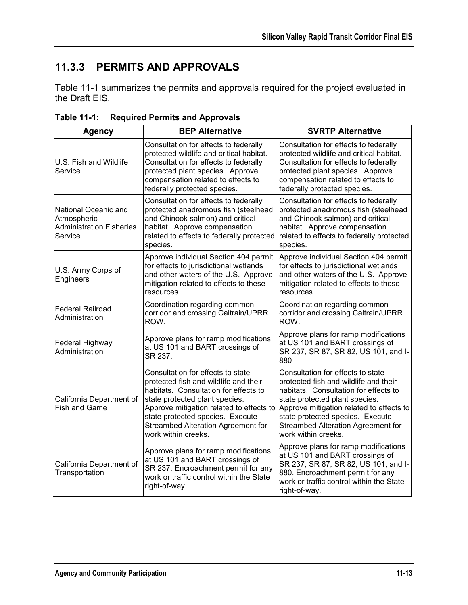## **11.3.3 PERMITS AND APPROVALS**

Table 11-1 summarizes the permits and approvals required for the project evaluated in the Draft EIS.

| <b>Agency</b>                                                                     | <b>BEP Alternative</b>                                                                                                                                                                                                                                                                             | <b>SVRTP Alternative</b>                                                                                                                                                                                                                                                                           |
|-----------------------------------------------------------------------------------|----------------------------------------------------------------------------------------------------------------------------------------------------------------------------------------------------------------------------------------------------------------------------------------------------|----------------------------------------------------------------------------------------------------------------------------------------------------------------------------------------------------------------------------------------------------------------------------------------------------|
| U.S. Fish and Wildlife<br>Service                                                 | Consultation for effects to federally<br>protected wildlife and critical habitat.<br>Consultation for effects to federally<br>protected plant species. Approve<br>compensation related to effects to<br>federally protected species.                                                               | Consultation for effects to federally<br>protected wildlife and critical habitat.<br>Consultation for effects to federally<br>protected plant species. Approve<br>compensation related to effects to<br>federally protected species.                                                               |
| National Oceanic and<br>Atmospheric<br><b>Administration Fisheries</b><br>Service | Consultation for effects to federally<br>protected anadromous fish (steelhead<br>and Chinook salmon) and critical<br>habitat. Approve compensation<br>related to effects to federally protected<br>species.                                                                                        | Consultation for effects to federally<br>protected anadromous fish (steelhead<br>and Chinook salmon) and critical<br>habitat. Approve compensation<br>related to effects to federally protected<br>species.                                                                                        |
| U.S. Army Corps of<br>Engineers                                                   | Approve individual Section 404 permit<br>for effects to jurisdictional wetlands<br>and other waters of the U.S. Approve<br>mitigation related to effects to these<br>resources.                                                                                                                    | Approve individual Section 404 permit<br>for effects to jurisdictional wetlands<br>and other waters of the U.S. Approve<br>mitigation related to effects to these<br>resources.                                                                                                                    |
| <b>Federal Railroad</b><br>Administration                                         | Coordination regarding common<br>corridor and crossing Caltrain/UPRR<br>ROW.                                                                                                                                                                                                                       | Coordination regarding common<br>corridor and crossing Caltrain/UPRR<br>ROW.                                                                                                                                                                                                                       |
| Federal Highway<br>Administration                                                 | Approve plans for ramp modifications<br>at US 101 and BART crossings of<br>SR 237.                                                                                                                                                                                                                 | Approve plans for ramp modifications<br>at US 101 and BART crossings of<br>SR 237, SR 87, SR 82, US 101, and I-<br>880                                                                                                                                                                             |
| California Department of<br><b>Fish and Game</b>                                  | Consultation for effects to state<br>protected fish and wildlife and their<br>habitats. Consultation for effects to<br>state protected plant species.<br>Approve mitigation related to effects to<br>state protected species. Execute<br>Streambed Alteration Agreement for<br>work within creeks. | Consultation for effects to state<br>protected fish and wildlife and their<br>habitats. Consultation for effects to<br>state protected plant species.<br>Approve mitigation related to effects to<br>state protected species. Execute<br>Streambed Alteration Agreement for<br>work within creeks. |
| California Department of<br>Transportation                                        | Approve plans for ramp modifications<br>at US 101 and BART crossings of<br>SR 237. Encroachment permit for any<br>work or traffic control within the State<br>right-of-way.                                                                                                                        | Approve plans for ramp modifications<br>at US 101 and BART crossings of<br>SR 237, SR 87, SR 82, US 101, and I-<br>880. Encroachment permit for any<br>work or traffic control within the State<br>right-of-way.                                                                                   |

**Table 11-1: Required Permits and Approvals**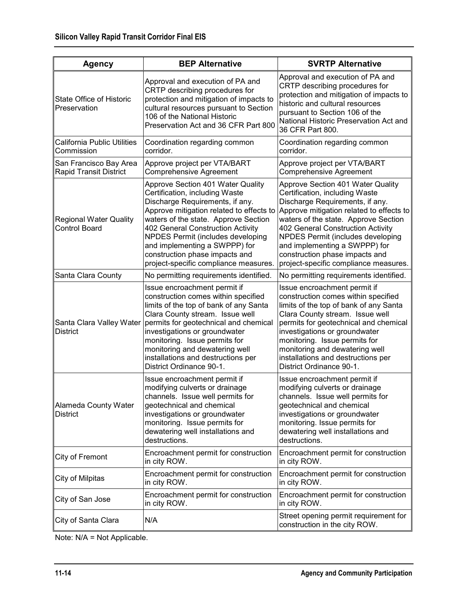| <b>Agency</b>                                           | <b>BEP Alternative</b>                                                                                                                                                                                                                                                                                                                                                           | <b>SVRTP Alternative</b>                                                                                                                                                                                                                                                                                                                                                         |
|---------------------------------------------------------|----------------------------------------------------------------------------------------------------------------------------------------------------------------------------------------------------------------------------------------------------------------------------------------------------------------------------------------------------------------------------------|----------------------------------------------------------------------------------------------------------------------------------------------------------------------------------------------------------------------------------------------------------------------------------------------------------------------------------------------------------------------------------|
| <b>State Office of Historic</b><br>Preservation         | Approval and execution of PA and<br>CRTP describing procedures for<br>protection and mitigation of impacts to<br>cultural resources pursuant to Section<br>106 of the National Historic<br>Preservation Act and 36 CFR Part 800                                                                                                                                                  | Approval and execution of PA and<br>CRTP describing procedures for<br>protection and mitigation of impacts to<br>historic and cultural resources<br>pursuant to Section 106 of the<br>National Historic Preservation Act and<br>36 CFR Part 800.                                                                                                                                 |
| <b>California Public Utilities</b><br>Commission        | Coordination regarding common<br>corridor.                                                                                                                                                                                                                                                                                                                                       | Coordination regarding common<br>corridor.                                                                                                                                                                                                                                                                                                                                       |
| San Francisco Bay Area<br><b>Rapid Transit District</b> | Approve project per VTA/BART<br><b>Comprehensive Agreement</b>                                                                                                                                                                                                                                                                                                                   | Approve project per VTA/BART<br><b>Comprehensive Agreement</b>                                                                                                                                                                                                                                                                                                                   |
| <b>Regional Water Quality</b><br><b>Control Board</b>   | Approve Section 401 Water Quality<br>Certification, including Waste<br>Discharge Requirements, if any.<br>Approve mitigation related to effects to<br>waters of the state. Approve Section<br>402 General Construction Activity<br>NPDES Permit (includes developing<br>and implementing a SWPPP) for<br>construction phase impacts and<br>project-specific compliance measures. | Approve Section 401 Water Quality<br>Certification, including Waste<br>Discharge Requirements, if any.<br>Approve mitigation related to effects to<br>waters of the state. Approve Section<br>402 General Construction Activity<br>NPDES Permit (includes developing<br>and implementing a SWPPP) for<br>construction phase impacts and<br>project-specific compliance measures. |
| Santa Clara County                                      | No permitting requirements identified.                                                                                                                                                                                                                                                                                                                                           | No permitting requirements identified.                                                                                                                                                                                                                                                                                                                                           |
| Santa Clara Valley Water<br><b>District</b>             | Issue encroachment permit if<br>construction comes within specified<br>limits of the top of bank of any Santa<br>Clara County stream. Issue well<br>permits for geotechnical and chemical<br>investigations or groundwater<br>monitoring. Issue permits for<br>monitoring and dewatering well<br>installations and destructions per<br>District Ordinance 90-1.                  | Issue encroachment permit if<br>construction comes within specified<br>limits of the top of bank of any Santa<br>Clara County stream. Issue well<br>permits for geotechnical and chemical<br>investigations or groundwater<br>monitoring. Issue permits for<br>monitoring and dewatering well<br>installations and destructions per<br>District Ordinance 90-1.                  |
| <b>Alameda County Water</b><br>District                 | Issue encroachment permit if<br>modifying culverts or drainage<br>channels. Issue well permits for<br>geotechnical and chemical<br>investigations or groundwater<br>monitoring. Issue permits for<br>dewatering well installations and<br>destructions.                                                                                                                          | Issue encroachment permit if<br>modifying culverts or drainage<br>channels. Issue well permits for<br>geotechnical and chemical<br>investigations or groundwater<br>monitoring. Issue permits for<br>dewatering well installations and<br>destructions.                                                                                                                          |
| City of Fremont                                         | Encroachment permit for construction<br>in city ROW.                                                                                                                                                                                                                                                                                                                             | Encroachment permit for construction<br>in city ROW.                                                                                                                                                                                                                                                                                                                             |
| City of Milpitas                                        | Encroachment permit for construction<br>in city ROW.                                                                                                                                                                                                                                                                                                                             | Encroachment permit for construction<br>in city ROW.                                                                                                                                                                                                                                                                                                                             |
| City of San Jose                                        | Encroachment permit for construction<br>in city ROW.                                                                                                                                                                                                                                                                                                                             | Encroachment permit for construction<br>in city ROW.                                                                                                                                                                                                                                                                                                                             |
| City of Santa Clara                                     | N/A                                                                                                                                                                                                                                                                                                                                                                              | Street opening permit requirement for<br>construction in the city ROW.                                                                                                                                                                                                                                                                                                           |

Note: N/A = Not Applicable.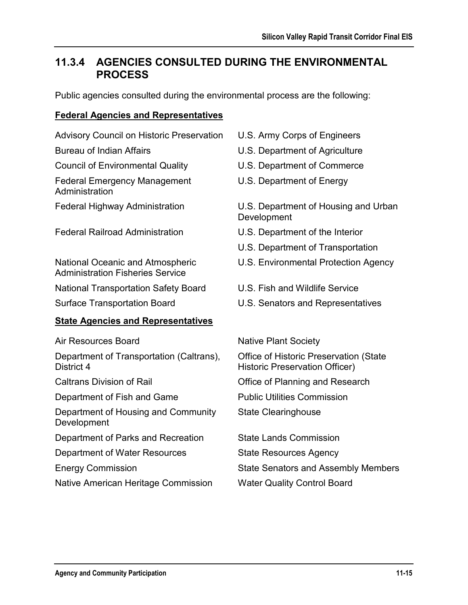## **11.3.4 AGENCIES CONSULTED DURING THE ENVIRONMENTAL PROCESS**

Public agencies consulted during the environmental process are the following:

### **Federal Agencies and Representatives**

Advisory Council on Historic Preservation U.S. Army Corps of Engineers

Council of Environmental Quality U.S. Department of Commerce

Federal Emergency Management Administration

Federal Railroad Administration U.S. Department of the Interior

National Oceanic and Atmospheric Administration Fisheries Service

National Transportation Safety Board U.S. Fish and Wildlife Service

### **State Agencies and Representatives**

Air Resources Board Native Plant Society

Department of Transportation (Caltrans), District 4

Department of Fish and Game Public Utilities Commission

Department of Housing and Community Development

Department of Parks and Recreation State Lands Commission

Department of Water Resources State Resources Agency

Native American Heritage Commission Water Quality Control Board

- 
- Bureau of Indian Affairs **U.S. Department of Agriculture** 
	-
	- U.S. Department of Energy

Federal Highway Administration U.S. Department of Housing and Urban **Development** 

- 
- U.S. Department of Transportation
- U.S. Environmental Protection Agency
- 
- Surface Transportation Board U.S. Senators and Representatives

Office of Historic Preservation (State Historic Preservation Officer)

Caltrans Division of Rail Office of Planning and Research

State Clearinghouse

Energy Commission State Senators and Assembly Members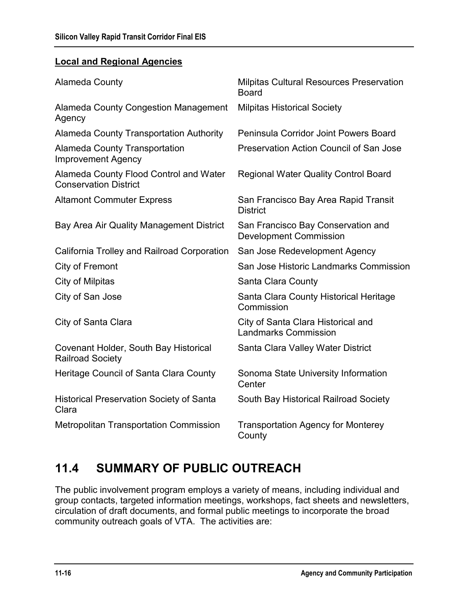#### **Local and Regional Agencies**

| <b>Alameda County</b>                                                  | <b>Milpitas Cultural Resources Preservation</b><br><b>Board</b>     |
|------------------------------------------------------------------------|---------------------------------------------------------------------|
| <b>Alameda County Congestion Management</b><br>Agency                  | <b>Milpitas Historical Society</b>                                  |
| <b>Alameda County Transportation Authority</b>                         | Peninsula Corridor Joint Powers Board                               |
| <b>Alameda County Transportation</b><br><b>Improvement Agency</b>      | Preservation Action Council of San Jose                             |
| Alameda County Flood Control and Water<br><b>Conservation District</b> | <b>Regional Water Quality Control Board</b>                         |
| <b>Altamont Commuter Express</b>                                       | San Francisco Bay Area Rapid Transit<br><b>District</b>             |
| Bay Area Air Quality Management District                               | San Francisco Bay Conservation and<br><b>Development Commission</b> |
| California Trolley and Railroad Corporation                            | San Jose Redevelopment Agency                                       |
| City of Fremont                                                        | San Jose Historic Landmarks Commission                              |
| City of Milpitas                                                       | Santa Clara County                                                  |
| City of San Jose                                                       | Santa Clara County Historical Heritage<br>Commission                |
| City of Santa Clara                                                    | City of Santa Clara Historical and<br><b>Landmarks Commission</b>   |
| Covenant Holder, South Bay Historical<br><b>Railroad Society</b>       | Santa Clara Valley Water District                                   |
| Heritage Council of Santa Clara County                                 | Sonoma State University Information<br>Center                       |
| <b>Historical Preservation Society of Santa</b><br>Clara               | South Bay Historical Railroad Society                               |
| <b>Metropolitan Transportation Commission</b>                          | <b>Transportation Agency for Monterey</b><br>County                 |

# **11.4 SUMMARY OF PUBLIC OUTREACH**

The public involvement program employs a variety of means, including individual and group contacts, targeted information meetings, workshops, fact sheets and newsletters, circulation of draft documents, and formal public meetings to incorporate the broad community outreach goals of VTA. The activities are: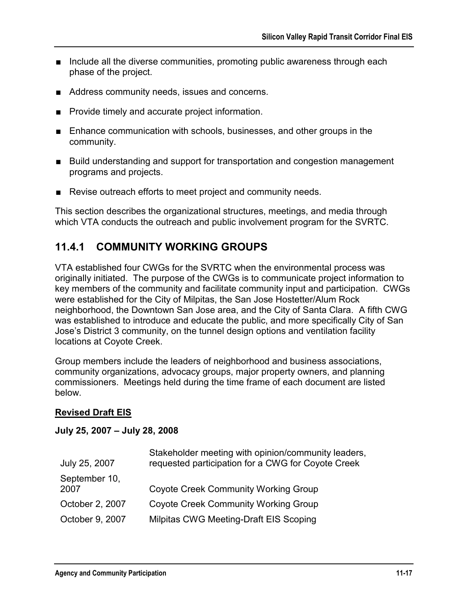- Include all the diverse communities, promoting public awareness through each phase of the project.
- Address community needs, issues and concerns.
- Provide timely and accurate project information.
- Enhance communication with schools, businesses, and other groups in the community.
- Build understanding and support for transportation and congestion management programs and projects.
- Revise outreach efforts to meet project and community needs.

This section describes the organizational structures, meetings, and media through which VTA conducts the outreach and public involvement program for the SVRTC.

### **11.4.1 COMMUNITY WORKING GROUPS**

VTA established four CWGs for the SVRTC when the environmental process was originally initiated. The purpose of the CWGs is to communicate project information to key members of the community and facilitate community input and participation. CWGs were established for the City of Milpitas, the San Jose Hostetter/Alum Rock neighborhood, the Downtown San Jose area, and the City of Santa Clara. A fifth CWG was established to introduce and educate the public, and more specifically City of San Jose's District 3 community, on the tunnel design options and ventilation facility locations at Coyote Creek.

Group members include the leaders of neighborhood and business associations, community organizations, advocacy groups, major property owners, and planning commissioners. Meetings held during the time frame of each document are listed below.

### **Revised Draft EIS**

#### **July 25, 2007 – July 28, 2008**

| Stakeholder meeting with opinion/community leaders,<br>requested participation for a CWG for Coyote Creek |
|-----------------------------------------------------------------------------------------------------------|
| <b>Coyote Creek Community Working Group</b>                                                               |
| <b>Coyote Creek Community Working Group</b>                                                               |
| Milpitas CWG Meeting-Draft EIS Scoping                                                                    |
|                                                                                                           |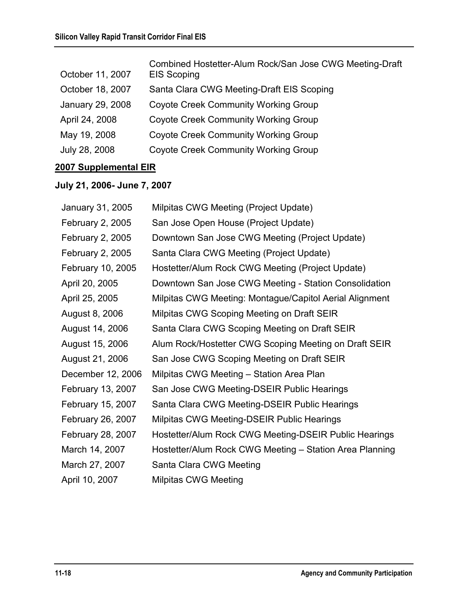| October 11, 2007 | Combined Hostetter-Alum Rock/San Jose CWG Meeting-Draft<br><b>EIS Scoping</b> |
|------------------|-------------------------------------------------------------------------------|
| October 18, 2007 | Santa Clara CWG Meeting-Draft EIS Scoping                                     |
| January 29, 2008 | <b>Coyote Creek Community Working Group</b>                                   |
| April 24, 2008   | <b>Coyote Creek Community Working Group</b>                                   |
| May 19, 2008     | <b>Coyote Creek Community Working Group</b>                                   |
| July 28, 2008    | <b>Coyote Creek Community Working Group</b>                                   |

### **2007 Supplemental EIR**

### **July 21, 2006- June 7, 2007**

| January 31, 2005        | Milpitas CWG Meeting (Project Update)                   |
|-------------------------|---------------------------------------------------------|
| February 2, 2005        | San Jose Open House (Project Update)                    |
| <b>February 2, 2005</b> | Downtown San Jose CWG Meeting (Project Update)          |
| February 2, 2005        | Santa Clara CWG Meeting (Project Update)                |
| February 10, 2005       | Hostetter/Alum Rock CWG Meeting (Project Update)        |
| April 20, 2005          | Downtown San Jose CWG Meeting - Station Consolidation   |
| April 25, 2005          | Milpitas CWG Meeting: Montague/Capitol Aerial Alignment |
| August 8, 2006          | Milpitas CWG Scoping Meeting on Draft SEIR              |
| August 14, 2006         | Santa Clara CWG Scoping Meeting on Draft SEIR           |
| August 15, 2006         | Alum Rock/Hostetter CWG Scoping Meeting on Draft SEIR   |
| August 21, 2006         | San Jose CWG Scoping Meeting on Draft SEIR              |
| December 12, 2006       | Milpitas CWG Meeting - Station Area Plan                |
| February 13, 2007       | San Jose CWG Meeting-DSEIR Public Hearings              |
| February 15, 2007       | Santa Clara CWG Meeting-DSEIR Public Hearings           |
| February 26, 2007       | Milpitas CWG Meeting-DSEIR Public Hearings              |
| February 28, 2007       | Hostetter/Alum Rock CWG Meeting-DSEIR Public Hearings   |
| March 14, 2007          | Hostetter/Alum Rock CWG Meeting - Station Area Planning |
| March 27, 2007          | Santa Clara CWG Meeting                                 |
| April 10, 2007          | <b>Milpitas CWG Meeting</b>                             |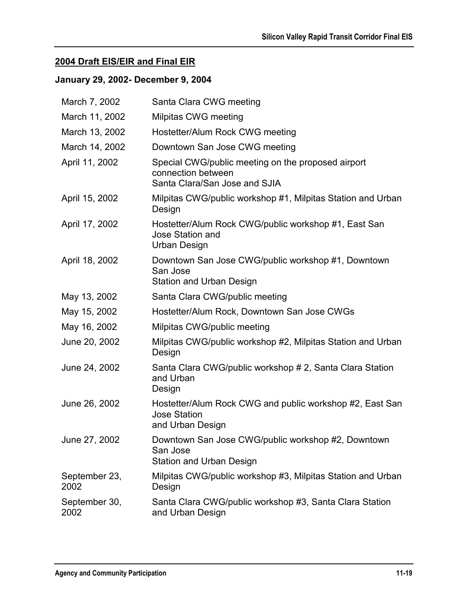### **2004 Draft EIS/EIR and Final EIR**

### **January 29, 2002- December 9, 2004**

| March 7, 2002         | Santa Clara CWG meeting                                                                                   |
|-----------------------|-----------------------------------------------------------------------------------------------------------|
| March 11, 2002        | Milpitas CWG meeting                                                                                      |
| March 13, 2002        | Hostetter/Alum Rock CWG meeting                                                                           |
| March 14, 2002        | Downtown San Jose CWG meeting                                                                             |
| April 11, 2002        | Special CWG/public meeting on the proposed airport<br>connection between<br>Santa Clara/San Jose and SJIA |
| April 15, 2002        | Milpitas CWG/public workshop #1, Milpitas Station and Urban<br>Design                                     |
| April 17, 2002        | Hostetter/Alum Rock CWG/public workshop #1, East San<br><b>Jose Station and</b><br>Urban Design           |
| April 18, 2002        | Downtown San Jose CWG/public workshop #1, Downtown<br>San Jose<br><b>Station and Urban Design</b>         |
| May 13, 2002          | Santa Clara CWG/public meeting                                                                            |
| May 15, 2002          | Hostetter/Alum Rock, Downtown San Jose CWGs                                                               |
| May 16, 2002          | Milpitas CWG/public meeting                                                                               |
| June 20, 2002         | Milpitas CWG/public workshop #2, Milpitas Station and Urban<br>Design                                     |
| June 24, 2002         | Santa Clara CWG/public workshop # 2, Santa Clara Station<br>and Urban<br>Design                           |
| June 26, 2002         | Hostetter/Alum Rock CWG and public workshop #2, East San<br><b>Jose Station</b><br>and Urban Design       |
| June 27, 2002         | Downtown San Jose CWG/public workshop #2, Downtown<br>San Jose<br><b>Station and Urban Design</b>         |
| September 23,<br>2002 | Milpitas CWG/public workshop #3, Milpitas Station and Urban<br>Design                                     |
| September 30,<br>2002 | Santa Clara CWG/public workshop #3, Santa Clara Station<br>and Urban Design                               |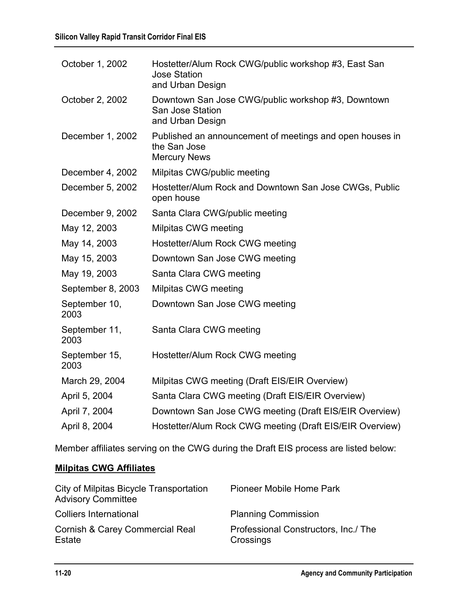| October 1, 2002       | Hostetter/Alum Rock CWG/public workshop #3, East San<br><b>Jose Station</b><br>and Urban Design |
|-----------------------|-------------------------------------------------------------------------------------------------|
| October 2, 2002       | Downtown San Jose CWG/public workshop #3, Downtown<br>San Jose Station<br>and Urban Design      |
| December 1, 2002      | Published an announcement of meetings and open houses in<br>the San Jose<br><b>Mercury News</b> |
| December 4, 2002      | Milpitas CWG/public meeting                                                                     |
| December 5, 2002      | Hostetter/Alum Rock and Downtown San Jose CWGs, Public<br>open house                            |
| December 9, 2002      | Santa Clara CWG/public meeting                                                                  |
| May 12, 2003          | Milpitas CWG meeting                                                                            |
| May 14, 2003          | Hostetter/Alum Rock CWG meeting                                                                 |
| May 15, 2003          | Downtown San Jose CWG meeting                                                                   |
| May 19, 2003          | Santa Clara CWG meeting                                                                         |
| September 8, 2003     | Milpitas CWG meeting                                                                            |
| September 10,<br>2003 | Downtown San Jose CWG meeting                                                                   |
| September 11,<br>2003 | Santa Clara CWG meeting                                                                         |
| September 15,<br>2003 | Hostetter/Alum Rock CWG meeting                                                                 |
| March 29, 2004        | Milpitas CWG meeting (Draft EIS/EIR Overview)                                                   |
| April 5, 2004         | Santa Clara CWG meeting (Draft EIS/EIR Overview)                                                |
| April 7, 2004         | Downtown San Jose CWG meeting (Draft EIS/EIR Overview)                                          |
| April 8, 2004         | Hostetter/Alum Rock CWG meeting (Draft EIS/EIR Overview)                                        |

Member affiliates serving on the CWG during the Draft EIS process are listed below:

### **Milpitas CWG Affiliates**

| City of Milpitas Bicycle Transportation<br><b>Advisory Committee</b> | Pioneer Mobile Home Park                          |
|----------------------------------------------------------------------|---------------------------------------------------|
| <b>Colliers International</b>                                        | <b>Planning Commission</b>                        |
| <b>Cornish &amp; Carey Commercial Real</b><br>Estate                 | Professional Constructors, Inc./ The<br>Crossings |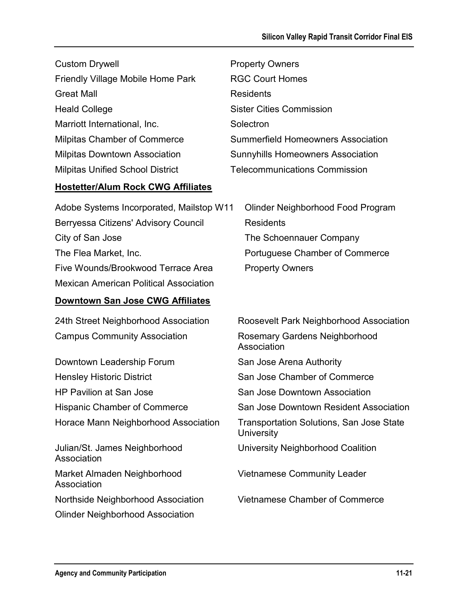| <b>Custom Drywell</b>                     | <b>Property Owners</b>                   |
|-------------------------------------------|------------------------------------------|
| Friendly Village Mobile Home Park         | <b>RGC Court Homes</b>                   |
| <b>Great Mall</b>                         | <b>Residents</b>                         |
| <b>Heald College</b>                      | <b>Sister Cities Commission</b>          |
| Marriott International, Inc.              | Solectron                                |
| <b>Milpitas Chamber of Commerce</b>       | Summerfield Homeowners Association       |
| <b>Milpitas Downtown Association</b>      | <b>Sunnyhills Homeowners Association</b> |
| <b>Milpitas Unified School District</b>   | <b>Telecommunications Commission</b>     |
| <b>Hostetter/Alum Rock CWG Affiliates</b> |                                          |
|                                           |                                          |

| Adobe Systems Incorporated, Mailstop W11      | Olinder Neighborhood Food Program |
|-----------------------------------------------|-----------------------------------|
| Berryessa Citizens' Advisory Council          | <b>Residents</b>                  |
| City of San Jose                              | The Schoennauer Company           |
| The Flea Market, Inc.                         | Portuguese Chamber of Commerce    |
| Five Wounds/Brookwood Terrace Area            | <b>Property Owners</b>            |
| <b>Mexican American Political Association</b> |                                   |

## **Downtown San Jose CWG Affiliates**

| 24th Street Neighborhood Association         | Roosevelt Park Neighborhood Association                |
|----------------------------------------------|--------------------------------------------------------|
| <b>Campus Community Association</b>          | Rosemary Gardens Neighborhood<br>Association           |
| Downtown Leadership Forum                    | San Jose Arena Authority                               |
| <b>Hensley Historic District</b>             | San Jose Chamber of Commerce                           |
| <b>HP Pavilion at San Jose</b>               | San Jose Downtown Association                          |
| <b>Hispanic Chamber of Commerce</b>          | San Jose Downtown Resident Association                 |
| Horace Mann Neighborhood Association         | Transportation Solutions, San Jose State<br>University |
| Julian/St. James Neighborhood<br>Association | University Neighborhood Coalition                      |
| Market Almaden Neighborhood<br>Association   | <b>Vietnamese Community Leader</b>                     |
| Northside Neighborhood Association           | Vietnamese Chamber of Commerce                         |
| <b>Olinder Neighborhood Association</b>      |                                                        |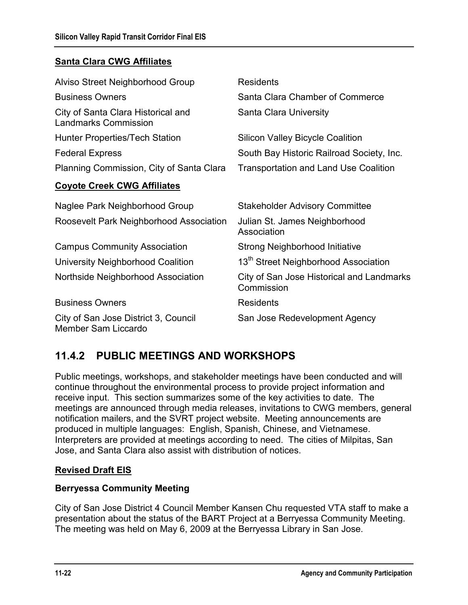### **Santa Clara CWG Affiliates**

| Alviso Street Neighborhood Group                                  | <b>Residents</b>                                        |
|-------------------------------------------------------------------|---------------------------------------------------------|
| <b>Business Owners</b>                                            | Santa Clara Chamber of Commerce                         |
| City of Santa Clara Historical and<br><b>Landmarks Commission</b> | <b>Santa Clara University</b>                           |
| <b>Hunter Properties/Tech Station</b>                             | <b>Silicon Valley Bicycle Coalition</b>                 |
| <b>Federal Express</b>                                            | South Bay Historic Railroad Society, Inc.               |
| Planning Commission, City of Santa Clara                          | <b>Transportation and Land Use Coalition</b>            |
| <b>Coyote Creek CWG Affiliates</b>                                |                                                         |
| Naglee Park Neighborhood Group                                    | <b>Stakeholder Advisory Committee</b>                   |
| Roosevelt Park Neighborhood Association                           | Julian St. James Neighborhood<br>Association            |
| <b>Campus Community Association</b>                               | <b>Strong Neighborhood Initiative</b>                   |
| University Neighborhood Coalition                                 | 13 <sup>th</sup> Street Neighborhood Association        |
| Northside Neighborhood Association                                | City of San Jose Historical and Landmarks<br>Commission |
| <b>Business Owners</b>                                            | <b>Residents</b>                                        |
| City of San Jose District 3, Council<br>Member Sam Liccardo       | San Jose Redevelopment Agency                           |

## **11.4.2 PUBLIC MEETINGS AND WORKSHOPS**

Public meetings, workshops, and stakeholder meetings have been conducted and will continue throughout the environmental process to provide project information and receive input. This section summarizes some of the key activities to date. The meetings are announced through media releases, invitations to CWG members, general notification mailers, and the SVRT project website. Meeting announcements are produced in multiple languages: English, Spanish, Chinese, and Vietnamese. Interpreters are provided at meetings according to need. The cities of Milpitas, San Jose, and Santa Clara also assist with distribution of notices.

### **Revised Draft EIS**

### **Berryessa Community Meeting**

City of San Jose District 4 Council Member Kansen Chu requested VTA staff to make a presentation about the status of the BART Project at a Berryessa Community Meeting. The meeting was held on May 6, 2009 at the Berryessa Library in San Jose.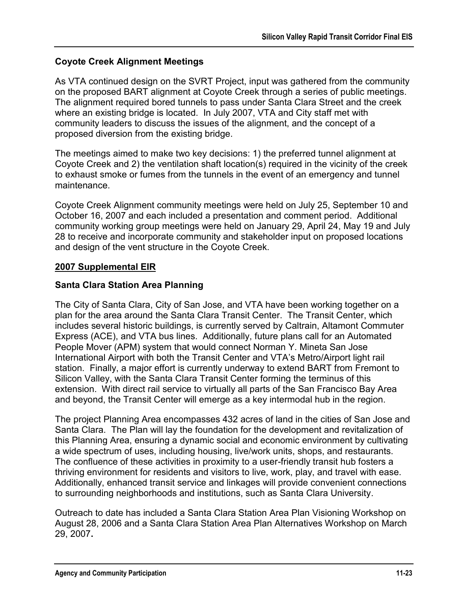### **Coyote Creek Alignment Meetings**

As VTA continued design on the SVRT Project, input was gathered from the community on the proposed BART alignment at Coyote Creek through a series of public meetings. The alignment required bored tunnels to pass under Santa Clara Street and the creek where an existing bridge is located. In July 2007, VTA and City staff met with community leaders to discuss the issues of the alignment, and the concept of a proposed diversion from the existing bridge.

The meetings aimed to make two key decisions: 1) the preferred tunnel alignment at Coyote Creek and 2) the ventilation shaft location(s) required in the vicinity of the creek to exhaust smoke or fumes from the tunnels in the event of an emergency and tunnel maintenance.

Coyote Creek Alignment community meetings were held on July 25, September 10 and October 16, 2007 and each included a presentation and comment period. Additional community working group meetings were held on January 29, April 24, May 19 and July 28 to receive and incorporate community and stakeholder input on proposed locations and design of the vent structure in the Coyote Creek.

### **2007 Supplemental EIR**

### **Santa Clara Station Area Planning**

The City of Santa Clara, City of San Jose, and VTA have been working together on a plan for the area around the Santa Clara Transit Center. The Transit Center, which includes several historic buildings, is currently served by Caltrain, Altamont Commuter Express (ACE), and VTA bus lines. Additionally, future plans call for an Automated People Mover (APM) system that would connect Norman Y. Mineta San Jose International Airport with both the Transit Center and VTA's Metro/Airport light rail station. Finally, a major effort is currently underway to extend BART from Fremont to Silicon Valley, with the Santa Clara Transit Center forming the terminus of this extension. With direct rail service to virtually all parts of the San Francisco Bay Area and beyond, the Transit Center will emerge as a key intermodal hub in the region.

The project Planning Area encompasses 432 acres of land in the cities of San Jose and Santa Clara. The Plan will lay the foundation for the development and revitalization of this Planning Area, ensuring a dynamic social and economic environment by cultivating a wide spectrum of uses, including housing, live/work units, shops, and restaurants. The confluence of these activities in proximity to a user-friendly transit hub fosters a thriving environment for residents and visitors to live, work, play, and travel with ease. Additionally, enhanced transit service and linkages will provide convenient connections to surrounding neighborhoods and institutions, such as Santa Clara University.

Outreach to date has included a Santa Clara Station Area Plan Visioning Workshop on August 28, 2006 and a Santa Clara Station Area Plan Alternatives Workshop on March 29, 2007**.**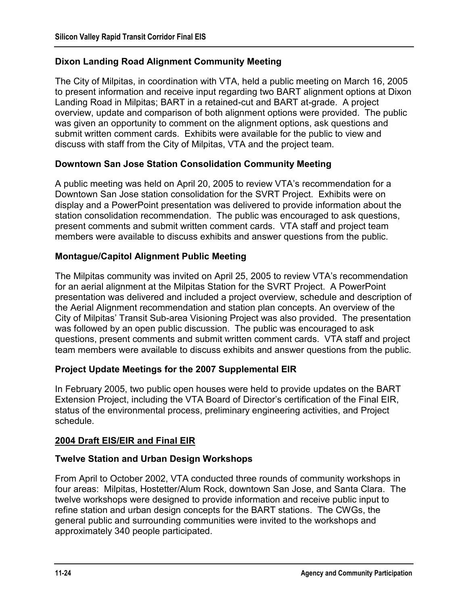### **Dixon Landing Road Alignment Community Meeting**

The City of Milpitas, in coordination with VTA, held a public meeting on March 16, 2005 to present information and receive input regarding two BART alignment options at Dixon Landing Road in Milpitas; BART in a retained-cut and BART at-grade. A project overview, update and comparison of both alignment options were provided. The public was given an opportunity to comment on the alignment options, ask questions and submit written comment cards. Exhibits were available for the public to view and discuss with staff from the City of Milpitas, VTA and the project team.

#### **Downtown San Jose Station Consolidation Community Meeting**

A public meeting was held on April 20, 2005 to review VTA's recommendation for a Downtown San Jose station consolidation for the SVRT Project. Exhibits were on display and a PowerPoint presentation was delivered to provide information about the station consolidation recommendation. The public was encouraged to ask questions, present comments and submit written comment cards. VTA staff and project team members were available to discuss exhibits and answer questions from the public.

#### **Montague/Capitol Alignment Public Meeting**

The Milpitas community was invited on April 25, 2005 to review VTA's recommendation for an aerial alignment at the Milpitas Station for the SVRT Project. A PowerPoint presentation was delivered and included a project overview, schedule and description of the Aerial Alignment recommendation and station plan concepts. An overview of the City of Milpitas' Transit Sub-area Visioning Project was also provided. The presentation was followed by an open public discussion. The public was encouraged to ask questions, present comments and submit written comment cards. VTA staff and project team members were available to discuss exhibits and answer questions from the public.

### **Project Update Meetings for the 2007 Supplemental EIR**

In February 2005, two public open houses were held to provide updates on the BART Extension Project, including the VTA Board of Director's certification of the Final EIR, status of the environmental process, preliminary engineering activities, and Project schedule.

#### **2004 Draft EIS/EIR and Final EIR**

#### **Twelve Station and Urban Design Workshops**

From April to October 2002, VTA conducted three rounds of community workshops in four areas: Milpitas, Hostetter/Alum Rock, downtown San Jose, and Santa Clara. The twelve workshops were designed to provide information and receive public input to refine station and urban design concepts for the BART stations. The CWGs, the general public and surrounding communities were invited to the workshops and approximately 340 people participated.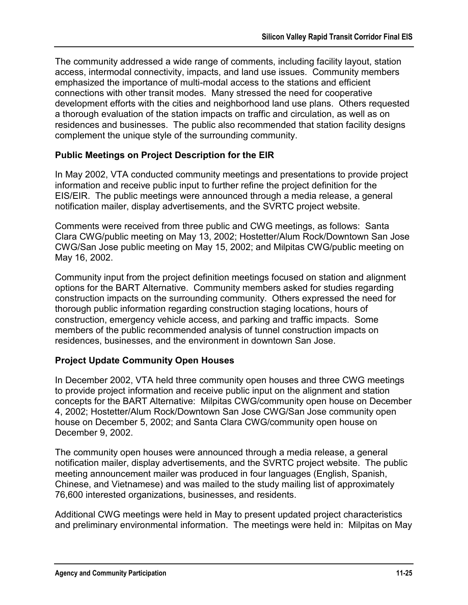The community addressed a wide range of comments, including facility layout, station access, intermodal connectivity, impacts, and land use issues. Community members emphasized the importance of multi-modal access to the stations and efficient connections with other transit modes. Many stressed the need for cooperative development efforts with the cities and neighborhood land use plans. Others requested a thorough evaluation of the station impacts on traffic and circulation, as well as on residences and businesses. The public also recommended that station facility designs complement the unique style of the surrounding community.

### **Public Meetings on Project Description for the EIR**

In May 2002, VTA conducted community meetings and presentations to provide project information and receive public input to further refine the project definition for the EIS/EIR. The public meetings were announced through a media release, a general notification mailer, display advertisements, and the SVRTC project website.

Comments were received from three public and CWG meetings, as follows: Santa Clara CWG/public meeting on May 13, 2002; Hostetter/Alum Rock/Downtown San Jose CWG/San Jose public meeting on May 15, 2002; and Milpitas CWG/public meeting on May 16, 2002.

Community input from the project definition meetings focused on station and alignment options for the BART Alternative. Community members asked for studies regarding construction impacts on the surrounding community. Others expressed the need for thorough public information regarding construction staging locations, hours of construction, emergency vehicle access, and parking and traffic impacts. Some members of the public recommended analysis of tunnel construction impacts on residences, businesses, and the environment in downtown San Jose.

### **Project Update Community Open Houses**

In December 2002, VTA held three community open houses and three CWG meetings to provide project information and receive public input on the alignment and station concepts for the BART Alternative: Milpitas CWG/community open house on December 4, 2002; Hostetter/Alum Rock/Downtown San Jose CWG/San Jose community open house on December 5, 2002; and Santa Clara CWG/community open house on December 9, 2002.

The community open houses were announced through a media release, a general notification mailer, display advertisements, and the SVRTC project website. The public meeting announcement mailer was produced in four languages (English, Spanish, Chinese, and Vietnamese) and was mailed to the study mailing list of approximately 76,600 interested organizations, businesses, and residents.

Additional CWG meetings were held in May to present updated project characteristics and preliminary environmental information. The meetings were held in: Milpitas on May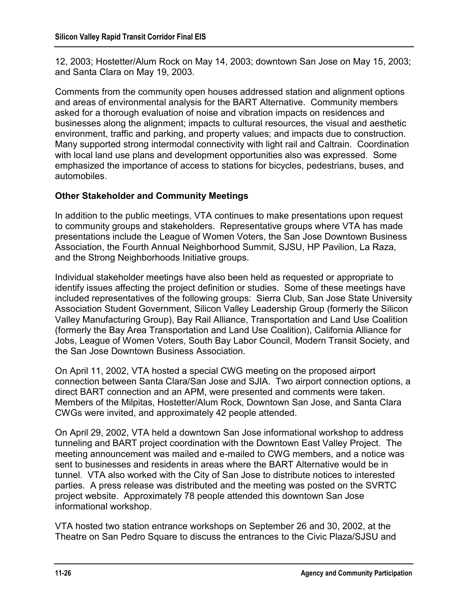12, 2003; Hostetter/Alum Rock on May 14, 2003; downtown San Jose on May 15, 2003; and Santa Clara on May 19, 2003.

Comments from the community open houses addressed station and alignment options and areas of environmental analysis for the BART Alternative. Community members asked for a thorough evaluation of noise and vibration impacts on residences and businesses along the alignment; impacts to cultural resources, the visual and aesthetic environment, traffic and parking, and property values; and impacts due to construction. Many supported strong intermodal connectivity with light rail and Caltrain. Coordination with local land use plans and development opportunities also was expressed. Some emphasized the importance of access to stations for bicycles, pedestrians, buses, and automobiles.

### **Other Stakeholder and Community Meetings**

In addition to the public meetings, VTA continues to make presentations upon request to community groups and stakeholders. Representative groups where VTA has made presentations include the League of Women Voters, the San Jose Downtown Business Association, the Fourth Annual Neighborhood Summit, SJSU, HP Pavilion, La Raza, and the Strong Neighborhoods Initiative groups.

Individual stakeholder meetings have also been held as requested or appropriate to identify issues affecting the project definition or studies. Some of these meetings have included representatives of the following groups: Sierra Club, San Jose State University Association Student Government, Silicon Valley Leadership Group (formerly the Silicon Valley Manufacturing Group), Bay Rail Alliance, Transportation and Land Use Coalition (formerly the Bay Area Transportation and Land Use Coalition), California Alliance for Jobs, League of Women Voters, South Bay Labor Council, Modern Transit Society, and the San Jose Downtown Business Association.

On April 11, 2002, VTA hosted a special CWG meeting on the proposed airport connection between Santa Clara/San Jose and SJIA. Two airport connection options, a direct BART connection and an APM, were presented and comments were taken. Members of the Milpitas, Hostetter/Alum Rock, Downtown San Jose, and Santa Clara CWGs were invited, and approximately 42 people attended.

On April 29, 2002, VTA held a downtown San Jose informational workshop to address tunneling and BART project coordination with the Downtown East Valley Project. The meeting announcement was mailed and e-mailed to CWG members, and a notice was sent to businesses and residents in areas where the BART Alternative would be in tunnel. VTA also worked with the City of San Jose to distribute notices to interested parties. A press release was distributed and the meeting was posted on the SVRTC project website. Approximately 78 people attended this downtown San Jose informational workshop.

VTA hosted two station entrance workshops on September 26 and 30, 2002, at the Theatre on San Pedro Square to discuss the entrances to the Civic Plaza/SJSU and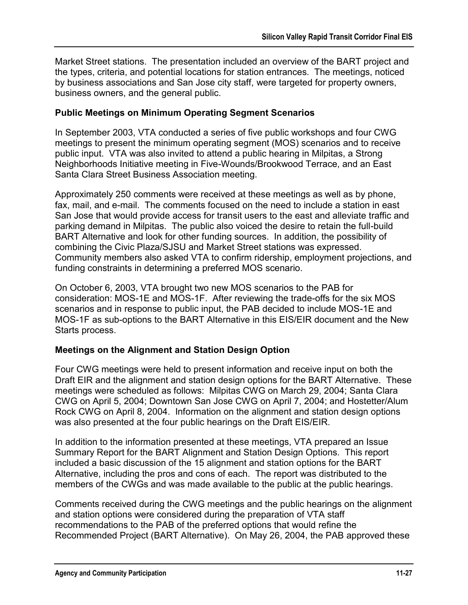Market Street stations. The presentation included an overview of the BART project and the types, criteria, and potential locations for station entrances. The meetings, noticed by business associations and San Jose city staff, were targeted for property owners, business owners, and the general public.

#### **Public Meetings on Minimum Operating Segment Scenarios**

In September 2003, VTA conducted a series of five public workshops and four CWG meetings to present the minimum operating segment (MOS) scenarios and to receive public input. VTA was also invited to attend a public hearing in Milpitas, a Strong Neighborhoods Initiative meeting in Five-Wounds/Brookwood Terrace, and an East Santa Clara Street Business Association meeting.

Approximately 250 comments were received at these meetings as well as by phone, fax, mail, and e-mail. The comments focused on the need to include a station in east San Jose that would provide access for transit users to the east and alleviate traffic and parking demand in Milpitas. The public also voiced the desire to retain the full-build BART Alternative and look for other funding sources. In addition, the possibility of combining the Civic Plaza/SJSU and Market Street stations was expressed. Community members also asked VTA to confirm ridership, employment projections, and funding constraints in determining a preferred MOS scenario.

On October 6, 2003, VTA brought two new MOS scenarios to the PAB for consideration: MOS-1E and MOS-1F. After reviewing the trade-offs for the six MOS scenarios and in response to public input, the PAB decided to include MOS-1E and MOS-1F as sub-options to the BART Alternative in this EIS/EIR document and the New Starts process.

### **Meetings on the Alignment and Station Design Option**

Four CWG meetings were held to present information and receive input on both the Draft EIR and the alignment and station design options for the BART Alternative. These meetings were scheduled as follows: Milpitas CWG on March 29, 2004; Santa Clara CWG on April 5, 2004; Downtown San Jose CWG on April 7, 2004; and Hostetter/Alum Rock CWG on April 8, 2004. Information on the alignment and station design options was also presented at the four public hearings on the Draft EIS/EIR.

In addition to the information presented at these meetings, VTA prepared an Issue Summary Report for the BART Alignment and Station Design Options. This report included a basic discussion of the 15 alignment and station options for the BART Alternative, including the pros and cons of each. The report was distributed to the members of the CWGs and was made available to the public at the public hearings.

Comments received during the CWG meetings and the public hearings on the alignment and station options were considered during the preparation of VTA staff recommendations to the PAB of the preferred options that would refine the Recommended Project (BART Alternative). On May 26, 2004, the PAB approved these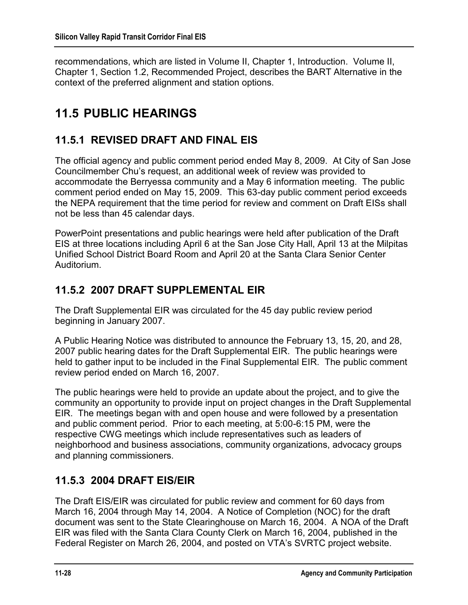recommendations, which are listed in Volume II, Chapter 1, Introduction. Volume II, Chapter 1, Section 1.2, Recommended Project, describes the BART Alternative in the context of the preferred alignment and station options.

# **11.5 PUBLIC HEARINGS**

## **11.5.1 REVISED DRAFT AND FINAL EIS**

The official agency and public comment period ended May 8, 2009. At City of San Jose Councilmember Chu's request, an additional week of review was provided to accommodate the Berryessa community and a May 6 information meeting. The public comment period ended on May 15, 2009. This 63-day public comment period exceeds the NEPA requirement that the time period for review and comment on Draft EISs shall not be less than 45 calendar days.

PowerPoint presentations and public hearings were held after publication of the Draft EIS at three locations including April 6 at the San Jose City Hall, April 13 at the Milpitas Unified School District Board Room and April 20 at the Santa Clara Senior Center Auditorium.

### **11.5.2 2007 DRAFT SUPPLEMENTAL EIR**

The Draft Supplemental EIR was circulated for the 45 day public review period beginning in January 2007.

A Public Hearing Notice was distributed to announce the February 13, 15, 20, and 28, 2007 public hearing dates for the Draft Supplemental EIR. The public hearings were held to gather input to be included in the Final Supplemental EIR. The public comment review period ended on March 16, 2007.

The public hearings were held to provide an update about the project, and to give the community an opportunity to provide input on project changes in the Draft Supplemental EIR. The meetings began with and open house and were followed by a presentation and public comment period. Prior to each meeting, at 5:00-6:15 PM, were the respective CWG meetings which include representatives such as leaders of neighborhood and business associations, community organizations, advocacy groups and planning commissioners.

## **11.5.3 2004 DRAFT EIS/EIR**

The Draft EIS/EIR was circulated for public review and comment for 60 days from March 16, 2004 through May 14, 2004. A Notice of Completion (NOC) for the draft document was sent to the State Clearinghouse on March 16, 2004. A NOA of the Draft EIR was filed with the Santa Clara County Clerk on March 16, 2004, published in the Federal Register on March 26, 2004, and posted on VTA's SVRTC project website.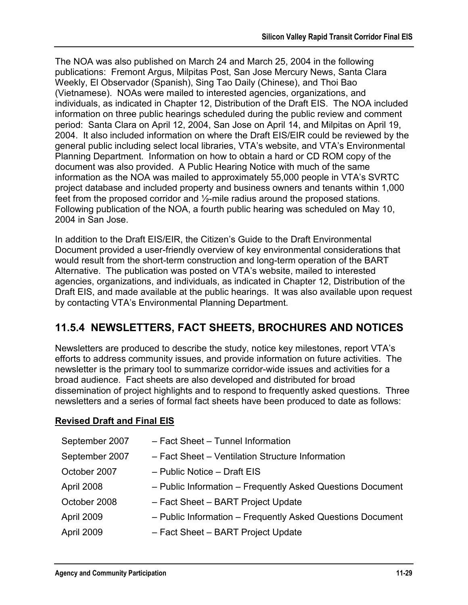The NOA was also published on March 24 and March 25, 2004 in the following publications: Fremont Argus, Milpitas Post, San Jose Mercury News, Santa Clara Weekly, El Observador (Spanish), Sing Tao Daily (Chinese), and Thoi Bao (Vietnamese). NOAs were mailed to interested agencies, organizations, and individuals, as indicated in Chapter 12, Distribution of the Draft EIS. The NOA included information on three public hearings scheduled during the public review and comment period: Santa Clara on April 12, 2004, San Jose on April 14, and Milpitas on April 19, 2004. It also included information on where the Draft EIS/EIR could be reviewed by the general public including select local libraries, VTA's website, and VTA's Environmental Planning Department. Information on how to obtain a hard or CD ROM copy of the document was also provided. A Public Hearing Notice with much of the same information as the NOA was mailed to approximately 55,000 people in VTA's SVRTC project database and included property and business owners and tenants within 1,000 feet from the proposed corridor and ½-mile radius around the proposed stations. Following publication of the NOA, a fourth public hearing was scheduled on May 10, 2004 in San Jose.

In addition to the Draft EIS/EIR, the Citizen's Guide to the Draft Environmental Document provided a user-friendly overview of key environmental considerations that would result from the short-term construction and long-term operation of the BART Alternative. The publication was posted on VTA's website, mailed to interested agencies, organizations, and individuals, as indicated in Chapter 12, Distribution of the Draft EIS, and made available at the public hearings. It was also available upon request by contacting VTA's Environmental Planning Department.

### **11.5.4 NEWSLETTERS, FACT SHEETS, BROCHURES AND NOTICES**

Newsletters are produced to describe the study, notice key milestones, report VTA's efforts to address community issues, and provide information on future activities. The newsletter is the primary tool to summarize corridor-wide issues and activities for a broad audience. Fact sheets are also developed and distributed for broad dissemination of project highlights and to respond to frequently asked questions. Three newsletters and a series of formal fact sheets have been produced to date as follows:

### **Revised Draft and Final EIS**

| September 2007 | - Fact Sheet - Tunnel Information                          |
|----------------|------------------------------------------------------------|
| September 2007 | - Fact Sheet - Ventilation Structure Information           |
| October 2007   | - Public Notice - Draft EIS                                |
| April 2008     | - Public Information - Frequently Asked Questions Document |
| October 2008   | - Fact Sheet - BART Project Update                         |
| April 2009     | - Public Information - Frequently Asked Questions Document |
| April 2009     | - Fact Sheet - BART Project Update                         |
|                |                                                            |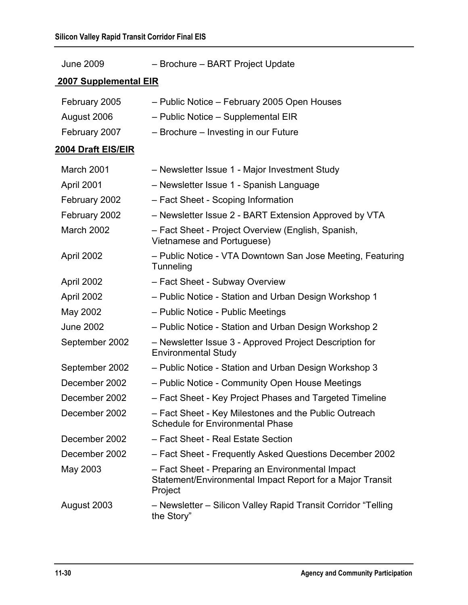June 2009 – Brochure – BART Project Update

| <b>2007 Supplemental EIR</b> |                                                                                                                          |  |
|------------------------------|--------------------------------------------------------------------------------------------------------------------------|--|
| February 2005                | - Public Notice - February 2005 Open Houses                                                                              |  |
| August 2006                  | - Public Notice - Supplemental EIR                                                                                       |  |
| February 2007                | - Brochure - Investing in our Future                                                                                     |  |
| 2004 Draft EIS/EIR           |                                                                                                                          |  |
| <b>March 2001</b>            | - Newsletter Issue 1 - Major Investment Study                                                                            |  |
| April 2001                   | - Newsletter Issue 1 - Spanish Language                                                                                  |  |
| February 2002                | - Fact Sheet - Scoping Information                                                                                       |  |
| February 2002                | - Newsletter Issue 2 - BART Extension Approved by VTA                                                                    |  |
| March 2002                   | - Fact Sheet - Project Overview (English, Spanish,<br>Vietnamese and Portuguese)                                         |  |
| April 2002                   | - Public Notice - VTA Downtown San Jose Meeting, Featuring<br>Tunneling                                                  |  |
| April 2002                   | - Fact Sheet - Subway Overview                                                                                           |  |
| April 2002                   | - Public Notice - Station and Urban Design Workshop 1                                                                    |  |
| May 2002                     | - Public Notice - Public Meetings                                                                                        |  |
| <b>June 2002</b>             | - Public Notice - Station and Urban Design Workshop 2                                                                    |  |
| September 2002               | - Newsletter Issue 3 - Approved Project Description for<br><b>Environmental Study</b>                                    |  |
| September 2002               | - Public Notice - Station and Urban Design Workshop 3                                                                    |  |
| December 2002                | - Public Notice - Community Open House Meetings                                                                          |  |
| December 2002                | - Fact Sheet - Key Project Phases and Targeted Timeline                                                                  |  |
| December 2002                | - Fact Sheet - Key Milestones and the Public Outreach<br><b>Schedule for Environmental Phase</b>                         |  |
| December 2002                | - Fact Sheet - Real Estate Section                                                                                       |  |
| December 2002                | - Fact Sheet - Frequently Asked Questions December 2002                                                                  |  |
| May 2003                     | - Fact Sheet - Preparing an Environmental Impact<br>Statement/Environmental Impact Report for a Major Transit<br>Project |  |
| August 2003                  | - Newsletter - Silicon Valley Rapid Transit Corridor "Telling<br>the Story"                                              |  |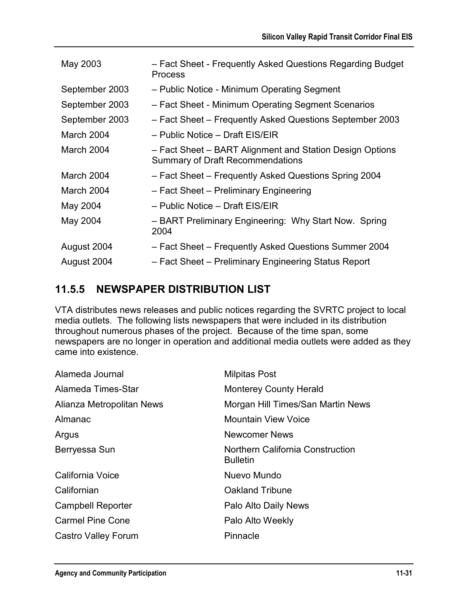| May 2003       | - Fact Sheet - Frequently Asked Questions Regarding Budget<br><b>Process</b>                        |
|----------------|-----------------------------------------------------------------------------------------------------|
| September 2003 | - Public Notice - Minimum Operating Segment                                                         |
| September 2003 | - Fact Sheet - Minimum Operating Segment Scenarios                                                  |
| September 2003 | - Fact Sheet - Frequently Asked Questions September 2003                                            |
| March 2004     | - Public Notice - Draft EIS/EIR                                                                     |
| March 2004     | - Fact Sheet - BART Alignment and Station Design Options<br><b>Summary of Draft Recommendations</b> |
| March 2004     | - Fact Sheet - Frequently Asked Questions Spring 2004                                               |
| March 2004     | - Fact Sheet - Preliminary Engineering                                                              |
| May 2004       | – Public Notice – Draft EIS/EIR                                                                     |
| May 2004       | - BART Preliminary Engineering: Why Start Now. Spring<br>2004                                       |
| August 2004    | - Fact Sheet - Frequently Asked Questions Summer 2004                                               |
| August 2004    | - Fact Sheet - Preliminary Engineering Status Report                                                |

## **11.5.5 NEWSPAPER DISTRIBUTION LIST**

VTA distributes news releases and public notices regarding the SVRTC project to local media outlets. The following lists newspapers that were included in its distribution throughout numerous phases of the project. Because of the time span, some newspapers are no longer in operation and additional media outlets were added as they came into existence.

| Alameda Journal           | <b>Milpitas Post</b>                                       |
|---------------------------|------------------------------------------------------------|
| Alameda Times-Star        | <b>Monterey County Herald</b>                              |
| Alianza Metropolitan News | Morgan Hill Times/San Martin News                          |
| Almanac                   | <b>Mountain View Voice</b>                                 |
| Argus                     | <b>Newcomer News</b>                                       |
| Berryessa Sun             | <b>Northern California Construction</b><br><b>Bulletin</b> |
| California Voice          | Nuevo Mundo                                                |
| Californian               | <b>Oakland Tribune</b>                                     |
| <b>Campbell Reporter</b>  | Palo Alto Daily News                                       |
| <b>Carmel Pine Cone</b>   | Palo Alto Weekly                                           |
| Castro Valley Forum       | Pinnacle                                                   |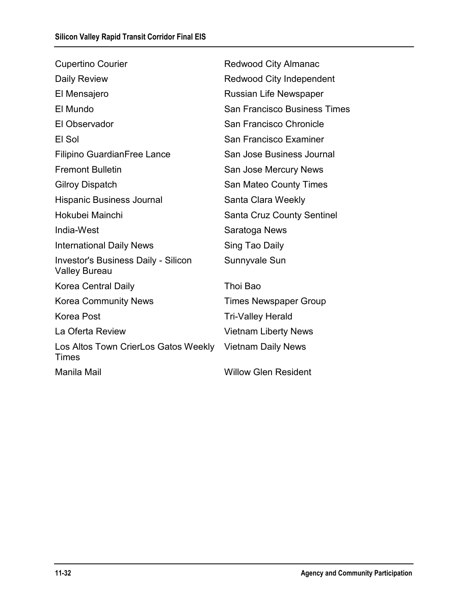| <b>Cupertino Courier</b>                                           | <b>Redwood City Almanac</b>         |
|--------------------------------------------------------------------|-------------------------------------|
| Daily Review                                                       | <b>Redwood City Independent</b>     |
| El Mensajero                                                       | <b>Russian Life Newspaper</b>       |
| El Mundo                                                           | <b>San Francisco Business Times</b> |
| El Observador                                                      | San Francisco Chronicle             |
| El Sol                                                             | San Francisco Examiner              |
| <b>Filipino GuardianFree Lance</b>                                 | San Jose Business Journal           |
| <b>Fremont Bulletin</b>                                            | San Jose Mercury News               |
| <b>Gilroy Dispatch</b>                                             | San Mateo County Times              |
| <b>Hispanic Business Journal</b>                                   | Santa Clara Weekly                  |
| Hokubei Mainchi                                                    | <b>Santa Cruz County Sentinel</b>   |
| India-West                                                         | Saratoga News                       |
| <b>International Daily News</b>                                    | Sing Tao Daily                      |
| <b>Investor's Business Daily - Silicon</b><br><b>Valley Bureau</b> | Sunnyvale Sun                       |
| Korea Central Daily                                                | Thoi Bao                            |
| <b>Korea Community News</b>                                        | <b>Times Newspaper Group</b>        |
| <b>Korea Post</b>                                                  | <b>Tri-Valley Herald</b>            |
| La Oferta Review                                                   | <b>Vietnam Liberty News</b>         |
| Los Altos Town CrierLos Gatos Weekly<br>Times                      | <b>Vietnam Daily News</b>           |
| Manila Mail                                                        | <b>Willow Glen Resident</b>         |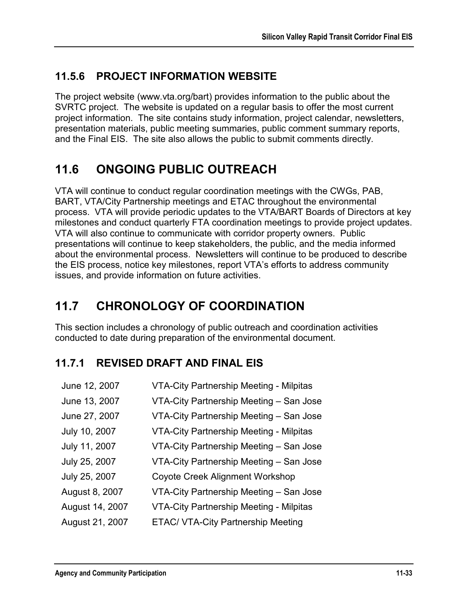## **11.5.6 PROJECT INFORMATION WEBSITE**

The project website (www.vta.org/bart) provides information to the public about the SVRTC project. The website is updated on a regular basis to offer the most current project information. The site contains study information, project calendar, newsletters, presentation materials, public meeting summaries, public comment summary reports, and the Final EIS. The site also allows the public to submit comments directly.

# **11.6 ONGOING PUBLIC OUTREACH**

VTA will continue to conduct regular coordination meetings with the CWGs, PAB, BART, VTA/City Partnership meetings and ETAC throughout the environmental process. VTA will provide periodic updates to the VTA/BART Boards of Directors at key milestones and conduct quarterly FTA coordination meetings to provide project updates. VTA will also continue to communicate with corridor property owners. Public presentations will continue to keep stakeholders, the public, and the media informed about the environmental process. Newsletters will continue to be produced to describe the EIS process, notice key milestones, report VTA's efforts to address community issues, and provide information on future activities.

# **11.7 CHRONOLOGY OF COORDINATION**

This section includes a chronology of public outreach and coordination activities conducted to date during preparation of the environmental document.

## **11.7.1 REVISED DRAFT AND FINAL EIS**

| June 12, 2007   | <b>VTA-City Partnership Meeting - Milpitas</b> |
|-----------------|------------------------------------------------|
| June 13, 2007   | VTA-City Partnership Meeting - San Jose        |
| June 27, 2007   | VTA-City Partnership Meeting - San Jose        |
| July 10, 2007   | <b>VTA-City Partnership Meeting - Milpitas</b> |
| July 11, 2007   | VTA-City Partnership Meeting - San Jose        |
| July 25, 2007   | VTA-City Partnership Meeting - San Jose        |
| July 25, 2007   | <b>Coyote Creek Alignment Workshop</b>         |
| August 8, 2007  | VTA-City Partnership Meeting - San Jose        |
| August 14, 2007 | <b>VTA-City Partnership Meeting - Milpitas</b> |
| August 21, 2007 | <b>ETAC/ VTA-City Partnership Meeting</b>      |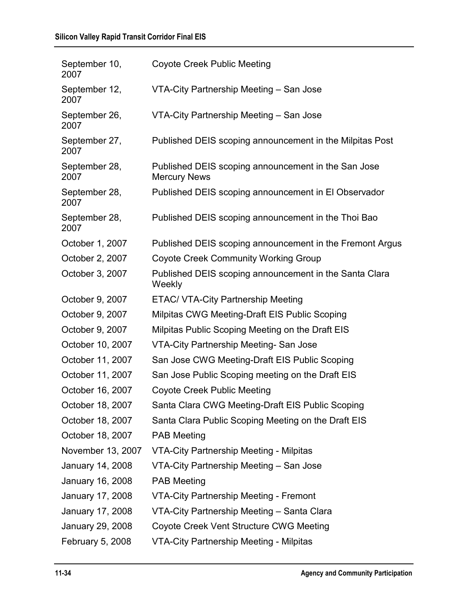### **Silicon Valley Rapid Transit Corridor Final EIS**

| September 10,<br>2007 | <b>Coyote Creek Public Meeting</b>                                         |
|-----------------------|----------------------------------------------------------------------------|
| September 12,<br>2007 | VTA-City Partnership Meeting - San Jose                                    |
| September 26,<br>2007 | VTA-City Partnership Meeting - San Jose                                    |
| September 27,<br>2007 | Published DEIS scoping announcement in the Milpitas Post                   |
| September 28,<br>2007 | Published DEIS scoping announcement in the San Jose<br><b>Mercury News</b> |
| September 28,<br>2007 | Published DEIS scoping announcement in El Observador                       |
| September 28,<br>2007 | Published DEIS scoping announcement in the Thoi Bao                        |
| October 1, 2007       | Published DEIS scoping announcement in the Fremont Argus                   |
| October 2, 2007       | <b>Coyote Creek Community Working Group</b>                                |
| October 3, 2007       | Published DEIS scoping announcement in the Santa Clara<br>Weekly           |
| October 9, 2007       | <b>ETAC/ VTA-City Partnership Meeting</b>                                  |
| October 9, 2007       | Milpitas CWG Meeting-Draft EIS Public Scoping                              |
| October 9, 2007       | Milpitas Public Scoping Meeting on the Draft EIS                           |
| October 10, 2007      | VTA-City Partnership Meeting- San Jose                                     |
| October 11, 2007      | San Jose CWG Meeting-Draft EIS Public Scoping                              |
| October 11, 2007      | San Jose Public Scoping meeting on the Draft EIS                           |
| October 16, 2007      | <b>Coyote Creek Public Meeting</b>                                         |
| October 18, 2007      | Santa Clara CWG Meeting-Draft EIS Public Scoping                           |
| October 18, 2007      | Santa Clara Public Scoping Meeting on the Draft EIS                        |
| October 18, 2007      | <b>PAB Meeting</b>                                                         |
| November 13, 2007     | VTA-City Partnership Meeting - Milpitas                                    |
| January 14, 2008      | VTA-City Partnership Meeting - San Jose                                    |
| January 16, 2008      | <b>PAB Meeting</b>                                                         |
| January 17, 2008      | <b>VTA-City Partnership Meeting - Fremont</b>                              |
| January 17, 2008      | VTA-City Partnership Meeting - Santa Clara                                 |
| January 29, 2008      | Coyote Creek Vent Structure CWG Meeting                                    |
| February 5, 2008      | <b>VTA-City Partnership Meeting - Milpitas</b>                             |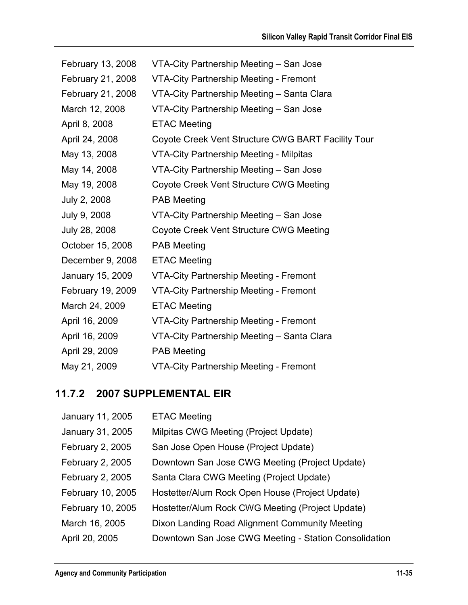| February 13, 2008 | VTA-City Partnership Meeting - San Jose            |
|-------------------|----------------------------------------------------|
| February 21, 2008 | <b>VTA-City Partnership Meeting - Fremont</b>      |
| February 21, 2008 | VTA-City Partnership Meeting - Santa Clara         |
| March 12, 2008    | VTA-City Partnership Meeting - San Jose            |
| April 8, 2008     | <b>ETAC Meeting</b>                                |
| April 24, 2008    | Coyote Creek Vent Structure CWG BART Facility Tour |
| May 13, 2008      | VTA-City Partnership Meeting - Milpitas            |
| May 14, 2008      | VTA-City Partnership Meeting - San Jose            |
| May 19, 2008      | Coyote Creek Vent Structure CWG Meeting            |
| July 2, 2008      | <b>PAB Meeting</b>                                 |
| July 9, 2008      | VTA-City Partnership Meeting - San Jose            |
| July 28, 2008     | Coyote Creek Vent Structure CWG Meeting            |
| October 15, 2008  | <b>PAB Meeting</b>                                 |
| December 9, 2008  | <b>ETAC Meeting</b>                                |
| January 15, 2009  | <b>VTA-City Partnership Meeting - Fremont</b>      |
| February 19, 2009 | <b>VTA-City Partnership Meeting - Fremont</b>      |
| March 24, 2009    | <b>ETAC Meeting</b>                                |
| April 16, 2009    | <b>VTA-City Partnership Meeting - Fremont</b>      |
| April 16, 2009    | VTA-City Partnership Meeting - Santa Clara         |
| April 29, 2009    | <b>PAB Meeting</b>                                 |
| May 21, 2009      | <b>VTA-City Partnership Meeting - Fremont</b>      |

## **11.7.2 2007 SUPPLEMENTAL EIR**

| January 11, 2005  | <b>ETAC Meeting</b>                                   |
|-------------------|-------------------------------------------------------|
| January 31, 2005  | Milpitas CWG Meeting (Project Update)                 |
| February 2, 2005  | San Jose Open House (Project Update)                  |
| February 2, 2005  | Downtown San Jose CWG Meeting (Project Update)        |
| February 2, 2005  | Santa Clara CWG Meeting (Project Update)              |
| February 10, 2005 | Hostetter/Alum Rock Open House (Project Update)       |
| February 10, 2005 | Hostetter/Alum Rock CWG Meeting (Project Update)      |
| March 16, 2005    | Dixon Landing Road Alignment Community Meeting        |
| April 20, 2005    | Downtown San Jose CWG Meeting - Station Consolidation |
|                   |                                                       |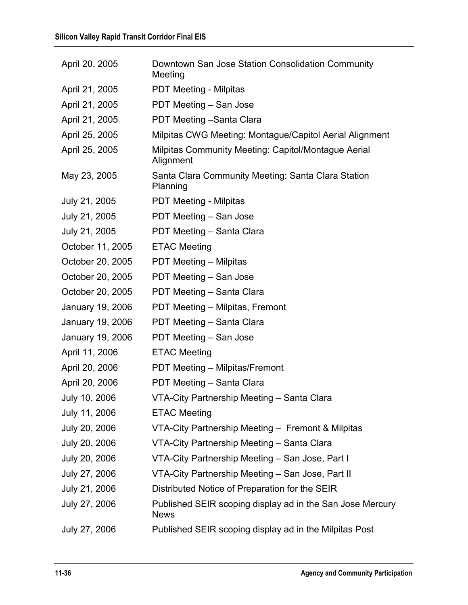| April 20, 2005   | Downtown San Jose Station Consolidation Community<br>Meeting             |
|------------------|--------------------------------------------------------------------------|
| April 21, 2005   | <b>PDT Meeting - Milpitas</b>                                            |
| April 21, 2005   | PDT Meeting - San Jose                                                   |
| April 21, 2005   | PDT Meeting - Santa Clara                                                |
| April 25, 2005   | Milpitas CWG Meeting: Montague/Capitol Aerial Alignment                  |
| April 25, 2005   | Milpitas Community Meeting: Capitol/Montague Aerial<br>Alignment         |
| May 23, 2005     | Santa Clara Community Meeting: Santa Clara Station<br>Planning           |
| July 21, 2005    | <b>PDT Meeting - Milpitas</b>                                            |
| July 21, 2005    | PDT Meeting - San Jose                                                   |
| July 21, 2005    | PDT Meeting - Santa Clara                                                |
| October 11, 2005 | <b>ETAC Meeting</b>                                                      |
| October 20, 2005 | <b>PDT Meeting – Milpitas</b>                                            |
| October 20, 2005 | PDT Meeting - San Jose                                                   |
| October 20, 2005 | PDT Meeting - Santa Clara                                                |
| January 19, 2006 | PDT Meeting - Milpitas, Fremont                                          |
| January 19, 2006 | PDT Meeting - Santa Clara                                                |
| January 19, 2006 | PDT Meeting - San Jose                                                   |
| April 11, 2006   | <b>ETAC Meeting</b>                                                      |
| April 20, 2006   | PDT Meeting - Milpitas/Fremont                                           |
| April 20, 2006   | PDT Meeting - Santa Clara                                                |
| July 10, 2006    | VTA-City Partnership Meeting - Santa Clara                               |
| July 11, 2006    | <b>ETAC Meeting</b>                                                      |
| July 20, 2006    | VTA-City Partnership Meeting - Fremont & Milpitas                        |
| July 20, 2006    | VTA-City Partnership Meeting - Santa Clara                               |
| July 20, 2006    | VTA-City Partnership Meeting - San Jose, Part I                          |
| July 27, 2006    | VTA-City Partnership Meeting - San Jose, Part II                         |
| July 21, 2006    | Distributed Notice of Preparation for the SEIR                           |
| July 27, 2006    | Published SEIR scoping display ad in the San Jose Mercury<br><b>News</b> |
| July 27, 2006    | Published SEIR scoping display ad in the Milpitas Post                   |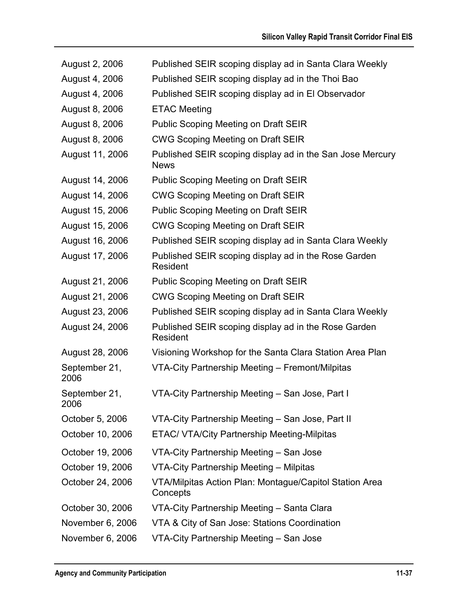| August 2, 2006        | Published SEIR scoping display ad in Santa Clara Weekly                  |
|-----------------------|--------------------------------------------------------------------------|
| August 4, 2006        | Published SEIR scoping display ad in the Thoi Bao                        |
| August 4, 2006        | Published SEIR scoping display ad in El Observador                       |
| August 8, 2006        | <b>ETAC Meeting</b>                                                      |
| August 8, 2006        | <b>Public Scoping Meeting on Draft SEIR</b>                              |
| August 8, 2006        | <b>CWG Scoping Meeting on Draft SEIR</b>                                 |
| August 11, 2006       | Published SEIR scoping display ad in the San Jose Mercury<br><b>News</b> |
| August 14, 2006       | <b>Public Scoping Meeting on Draft SEIR</b>                              |
| August 14, 2006       | <b>CWG Scoping Meeting on Draft SEIR</b>                                 |
| August 15, 2006       | <b>Public Scoping Meeting on Draft SEIR</b>                              |
| August 15, 2006       | <b>CWG Scoping Meeting on Draft SEIR</b>                                 |
| August 16, 2006       | Published SEIR scoping display ad in Santa Clara Weekly                  |
| August 17, 2006       | Published SEIR scoping display ad in the Rose Garden<br>Resident         |
| August 21, 2006       | <b>Public Scoping Meeting on Draft SEIR</b>                              |
| August 21, 2006       | <b>CWG Scoping Meeting on Draft SEIR</b>                                 |
| August 23, 2006       | Published SEIR scoping display ad in Santa Clara Weekly                  |
| August 24, 2006       | Published SEIR scoping display ad in the Rose Garden<br>Resident         |
| August 28, 2006       | Visioning Workshop for the Santa Clara Station Area Plan                 |
| September 21,<br>2006 | VTA-City Partnership Meeting – Fremont/Milpitas                          |
| September 21,<br>2006 | VTA-City Partnership Meeting - San Jose, Part I                          |
| October 5, 2006       | VTA-City Partnership Meeting - San Jose, Part II                         |
| October 10, 2006      | <b>ETAC/ VTA/City Partnership Meeting-Milpitas</b>                       |
| October 19, 2006      | VTA-City Partnership Meeting - San Jose                                  |
| October 19, 2006      | VTA-City Partnership Meeting - Milpitas                                  |
| October 24, 2006      | VTA/Milpitas Action Plan: Montague/Capitol Station Area<br>Concepts      |
| October 30, 2006      | VTA-City Partnership Meeting - Santa Clara                               |
| November 6, 2006      | VTA & City of San Jose: Stations Coordination                            |
| November 6, 2006      | VTA-City Partnership Meeting - San Jose                                  |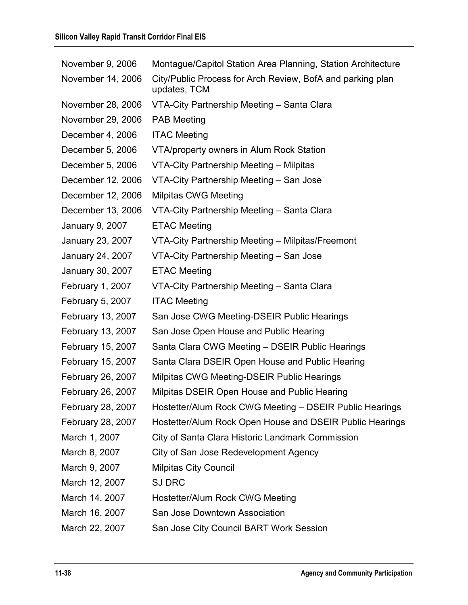| November 9, 2006  | Montague/Capitol Station Area Planning, Station Architecture               |
|-------------------|----------------------------------------------------------------------------|
| November 14, 2006 | City/Public Process for Arch Review, BofA and parking plan<br>updates, TCM |
| November 28, 2006 | VTA-City Partnership Meeting - Santa Clara                                 |
| November 29, 2006 | <b>PAB Meeting</b>                                                         |
| December 4, 2006  | <b>ITAC Meeting</b>                                                        |
| December 5, 2006  | VTA/property owners in Alum Rock Station                                   |
| December 5, 2006  | VTA-City Partnership Meeting - Milpitas                                    |
| December 12, 2006 | VTA-City Partnership Meeting - San Jose                                    |
| December 12, 2006 | <b>Milpitas CWG Meeting</b>                                                |
| December 13, 2006 | VTA-City Partnership Meeting - Santa Clara                                 |
| January 9, 2007   | <b>ETAC Meeting</b>                                                        |
| January 23, 2007  | VTA-City Partnership Meeting - Milpitas/Freemont                           |
| January 24, 2007  | VTA-City Partnership Meeting - San Jose                                    |
| January 30, 2007  | <b>ETAC Meeting</b>                                                        |
| February 1, 2007  | VTA-City Partnership Meeting - Santa Clara                                 |
| February 5, 2007  | <b>ITAC Meeting</b>                                                        |
| February 13, 2007 | San Jose CWG Meeting-DSEIR Public Hearings                                 |
| February 13, 2007 | San Jose Open House and Public Hearing                                     |
| February 15, 2007 | Santa Clara CWG Meeting - DSEIR Public Hearings                            |
| February 15, 2007 | Santa Clara DSEIR Open House and Public Hearing                            |
| February 26, 2007 | Milpitas CWG Meeting-DSEIR Public Hearings                                 |
| February 26, 2007 | Milpitas DSEIR Open House and Public Hearing                               |
| February 28, 2007 | Hostetter/Alum Rock CWG Meeting - DSEIR Public Hearings                    |
| February 28, 2007 | Hostetter/Alum Rock Open House and DSEIR Public Hearings                   |
| March 1, 2007     | City of Santa Clara Historic Landmark Commission                           |
| March 8, 2007     | City of San Jose Redevelopment Agency                                      |
| March 9, 2007     | <b>Milpitas City Council</b>                                               |
| March 12, 2007    | <b>SJ DRC</b>                                                              |
| March 14, 2007    | Hostetter/Alum Rock CWG Meeting                                            |
| March 16, 2007    | San Jose Downtown Association                                              |
| March 22, 2007    | San Jose City Council BART Work Session                                    |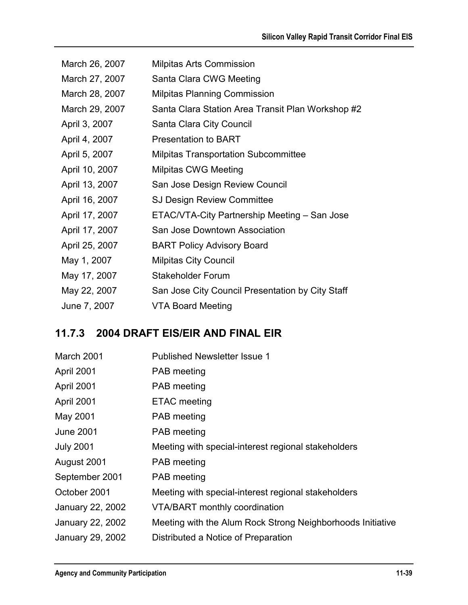| March 26, 2007 | <b>Milpitas Arts Commission</b>                   |
|----------------|---------------------------------------------------|
| March 27, 2007 | Santa Clara CWG Meeting                           |
| March 28, 2007 | <b>Milpitas Planning Commission</b>               |
| March 29, 2007 | Santa Clara Station Area Transit Plan Workshop #2 |
| April 3, 2007  | Santa Clara City Council                          |
| April 4, 2007  | <b>Presentation to BART</b>                       |
| April 5, 2007  | <b>Milpitas Transportation Subcommittee</b>       |
| April 10, 2007 | <b>Milpitas CWG Meeting</b>                       |
| April 13, 2007 | San Jose Design Review Council                    |
| April 16, 2007 | <b>SJ Design Review Committee</b>                 |
| April 17, 2007 | ETAC/VTA-City Partnership Meeting - San Jose      |
| April 17, 2007 | San Jose Downtown Association                     |
| April 25, 2007 | <b>BART Policy Advisory Board</b>                 |
| May 1, 2007    | <b>Milpitas City Council</b>                      |
| May 17, 2007   | <b>Stakeholder Forum</b>                          |
| May 22, 2007   | San Jose City Council Presentation by City Staff  |
| June 7, 2007   | VTA Board Meeting                                 |

## **11.7.3 2004 DRAFT EIS/EIR AND FINAL EIR**

| March 2001       | <b>Published Newsletter Issue 1</b>                        |
|------------------|------------------------------------------------------------|
| April 2001       | <b>PAB</b> meeting                                         |
| April 2001       | <b>PAB</b> meeting                                         |
| April 2001       | <b>ETAC</b> meeting                                        |
| May 2001         | <b>PAB</b> meeting                                         |
| <b>June 2001</b> | <b>PAB</b> meeting                                         |
| <b>July 2001</b> | Meeting with special-interest regional stakeholders        |
| August 2001      | <b>PAB</b> meeting                                         |
| September 2001   | <b>PAB</b> meeting                                         |
| October 2001     | Meeting with special-interest regional stakeholders        |
| January 22, 2002 | <b>VTA/BART</b> monthly coordination                       |
| January 22, 2002 | Meeting with the Alum Rock Strong Neighborhoods Initiative |
| January 29, 2002 | Distributed a Notice of Preparation                        |
|                  |                                                            |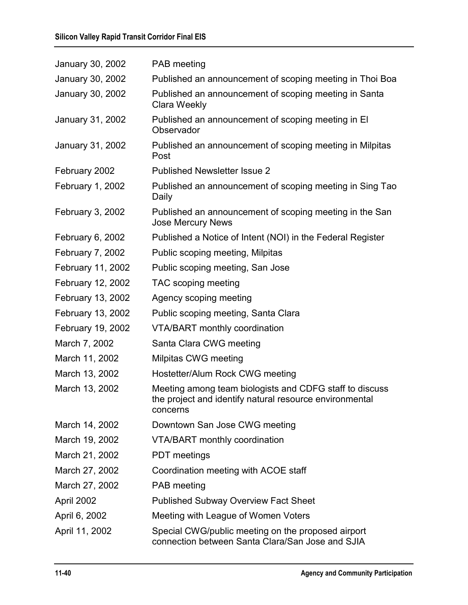| January 30, 2002  | <b>PAB</b> meeting                                                                                                             |
|-------------------|--------------------------------------------------------------------------------------------------------------------------------|
| January 30, 2002  | Published an announcement of scoping meeting in Thoi Boa                                                                       |
| January 30, 2002  | Published an announcement of scoping meeting in Santa<br>Clara Weekly                                                          |
| January 31, 2002  | Published an announcement of scoping meeting in El<br>Observador                                                               |
| January 31, 2002  | Published an announcement of scoping meeting in Milpitas<br>Post                                                               |
| February 2002     | <b>Published Newsletter Issue 2</b>                                                                                            |
| February 1, 2002  | Published an announcement of scoping meeting in Sing Tao<br>Daily                                                              |
| February 3, 2002  | Published an announcement of scoping meeting in the San<br><b>Jose Mercury News</b>                                            |
| February 6, 2002  | Published a Notice of Intent (NOI) in the Federal Register                                                                     |
| February 7, 2002  | Public scoping meeting, Milpitas                                                                                               |
| February 11, 2002 | Public scoping meeting, San Jose                                                                                               |
| February 12, 2002 | TAC scoping meeting                                                                                                            |
| February 13, 2002 | Agency scoping meeting                                                                                                         |
| February 13, 2002 | Public scoping meeting, Santa Clara                                                                                            |
| February 19, 2002 | <b>VTA/BART monthly coordination</b>                                                                                           |
| March 7, 2002     | Santa Clara CWG meeting                                                                                                        |
| March 11, 2002    | Milpitas CWG meeting                                                                                                           |
| March 13, 2002    | Hostetter/Alum Rock CWG meeting                                                                                                |
| March 13, 2002    | Meeting among team biologists and CDFG staff to discuss<br>the project and identify natural resource environmental<br>concerns |
| March 14, 2002    | Downtown San Jose CWG meeting                                                                                                  |
| March 19, 2002    | <b>VTA/BART monthly coordination</b>                                                                                           |
| March 21, 2002    | <b>PDT</b> meetings                                                                                                            |
| March 27, 2002    | Coordination meeting with ACOE staff                                                                                           |
| March 27, 2002    | <b>PAB</b> meeting                                                                                                             |
| April 2002        | <b>Published Subway Overview Fact Sheet</b>                                                                                    |
| April 6, 2002     | Meeting with League of Women Voters                                                                                            |
| April 11, 2002    | Special CWG/public meeting on the proposed airport<br>connection between Santa Clara/San Jose and SJIA                         |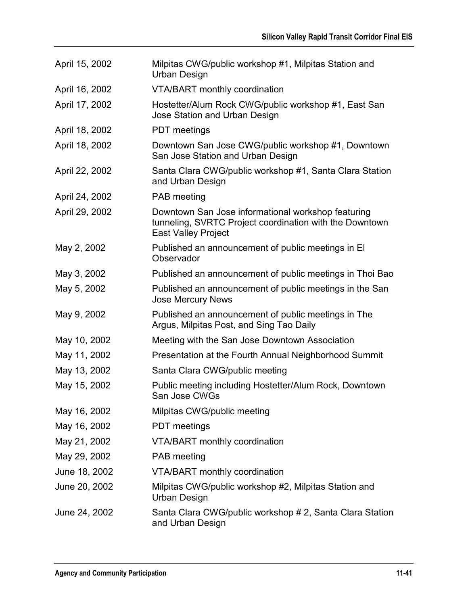| April 15, 2002 | Milpitas CWG/public workshop #1, Milpitas Station and<br><b>Urban Design</b>                                                                |
|----------------|---------------------------------------------------------------------------------------------------------------------------------------------|
| April 16, 2002 | <b>VTA/BART</b> monthly coordination                                                                                                        |
| April 17, 2002 | Hostetter/Alum Rock CWG/public workshop #1, East San<br>Jose Station and Urban Design                                                       |
| April 18, 2002 | <b>PDT</b> meetings                                                                                                                         |
| April 18, 2002 | Downtown San Jose CWG/public workshop #1, Downtown<br>San Jose Station and Urban Design                                                     |
| April 22, 2002 | Santa Clara CWG/public workshop #1, Santa Clara Station<br>and Urban Design                                                                 |
| April 24, 2002 | <b>PAB</b> meeting                                                                                                                          |
| April 29, 2002 | Downtown San Jose informational workshop featuring<br>tunneling, SVRTC Project coordination with the Downtown<br><b>East Valley Project</b> |
| May 2, 2002    | Published an announcement of public meetings in El<br>Observador                                                                            |
| May 3, 2002    | Published an announcement of public meetings in Thoi Bao                                                                                    |
| May 5, 2002    | Published an announcement of public meetings in the San<br><b>Jose Mercury News</b>                                                         |
| May 9, 2002    | Published an announcement of public meetings in The<br>Argus, Milpitas Post, and Sing Tao Daily                                             |
| May 10, 2002   | Meeting with the San Jose Downtown Association                                                                                              |
| May 11, 2002   | Presentation at the Fourth Annual Neighborhood Summit                                                                                       |
| May 13, 2002   | Santa Clara CWG/public meeting                                                                                                              |
| May 15, 2002   | Public meeting including Hostetter/Alum Rock, Downtown<br>San Jose CWGs                                                                     |
| May 16, 2002   | Milpitas CWG/public meeting                                                                                                                 |
| May 16, 2002   | <b>PDT</b> meetings                                                                                                                         |
| May 21, 2002   | <b>VTA/BART</b> monthly coordination                                                                                                        |
| May 29, 2002   | <b>PAB</b> meeting                                                                                                                          |
| June 18, 2002  | <b>VTA/BART</b> monthly coordination                                                                                                        |
| June 20, 2002  | Milpitas CWG/public workshop #2, Milpitas Station and<br>Urban Design                                                                       |
| June 24, 2002  | Santa Clara CWG/public workshop # 2, Santa Clara Station<br>and Urban Design                                                                |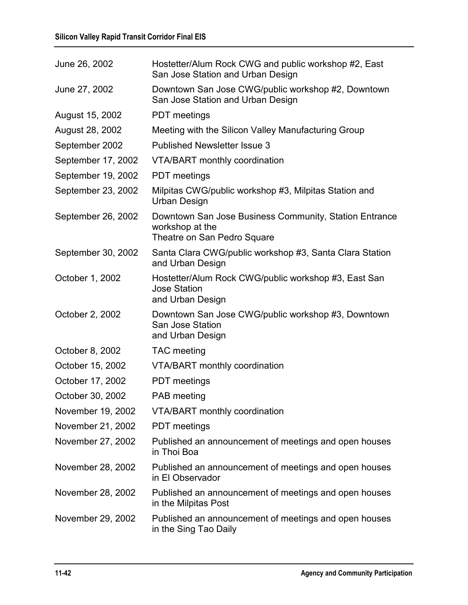| June 26, 2002      | Hostetter/Alum Rock CWG and public workshop #2, East<br>San Jose Station and Urban Design                |
|--------------------|----------------------------------------------------------------------------------------------------------|
| June 27, 2002      | Downtown San Jose CWG/public workshop #2, Downtown<br>San Jose Station and Urban Design                  |
| August 15, 2002    | <b>PDT</b> meetings                                                                                      |
| August 28, 2002    | Meeting with the Silicon Valley Manufacturing Group                                                      |
| September 2002     | <b>Published Newsletter Issue 3</b>                                                                      |
| September 17, 2002 | <b>VTA/BART</b> monthly coordination                                                                     |
| September 19, 2002 | <b>PDT</b> meetings                                                                                      |
| September 23, 2002 | Milpitas CWG/public workshop #3, Milpitas Station and<br>Urban Design                                    |
| September 26, 2002 | Downtown San Jose Business Community, Station Entrance<br>workshop at the<br>Theatre on San Pedro Square |
| September 30, 2002 | Santa Clara CWG/public workshop #3, Santa Clara Station<br>and Urban Design                              |
| October 1, 2002    | Hostetter/Alum Rock CWG/public workshop #3, East San<br><b>Jose Station</b><br>and Urban Design          |
| October 2, 2002    | Downtown San Jose CWG/public workshop #3, Downtown<br>San Jose Station<br>and Urban Design               |
| October 8, 2002    | <b>TAC</b> meeting                                                                                       |
| October 15, 2002   | <b>VTA/BART</b> monthly coordination                                                                     |
| October 17, 2002   | <b>PDT</b> meetings                                                                                      |
| October 30, 2002   | <b>PAB</b> meeting                                                                                       |
| November 19, 2002  | VTA/BART monthly coordination                                                                            |
| November 21, 2002  | <b>PDT</b> meetings                                                                                      |
| November 27, 2002  | Published an announcement of meetings and open houses<br>in Thoi Boa                                     |
| November 28, 2002  | Published an announcement of meetings and open houses<br>in El Observador                                |
| November 28, 2002  | Published an announcement of meetings and open houses<br>in the Milpitas Post                            |
| November 29, 2002  | Published an announcement of meetings and open houses<br>in the Sing Tao Daily                           |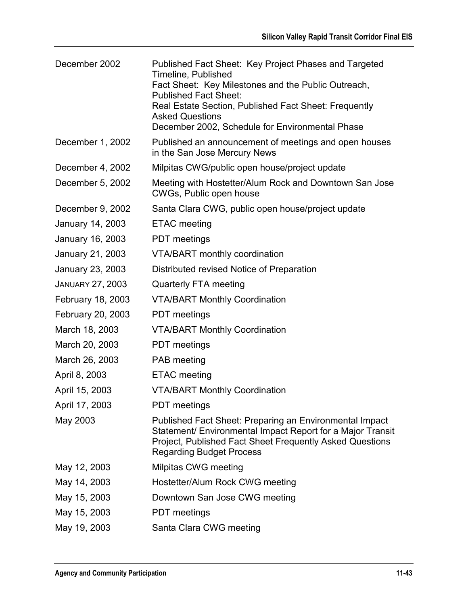| December 2002           | Published Fact Sheet: Key Project Phases and Targeted<br>Timeline, Published<br>Fact Sheet: Key Milestones and the Public Outreach,<br><b>Published Fact Sheet:</b><br>Real Estate Section, Published Fact Sheet: Frequently<br><b>Asked Questions</b><br>December 2002, Schedule for Environmental Phase |
|-------------------------|-----------------------------------------------------------------------------------------------------------------------------------------------------------------------------------------------------------------------------------------------------------------------------------------------------------|
| December 1, 2002        | Published an announcement of meetings and open houses<br>in the San Jose Mercury News                                                                                                                                                                                                                     |
| December 4, 2002        | Milpitas CWG/public open house/project update                                                                                                                                                                                                                                                             |
| December 5, 2002        | Meeting with Hostetter/Alum Rock and Downtown San Jose<br>CWGs, Public open house                                                                                                                                                                                                                         |
| December 9, 2002        | Santa Clara CWG, public open house/project update                                                                                                                                                                                                                                                         |
| January 14, 2003        | <b>ETAC</b> meeting                                                                                                                                                                                                                                                                                       |
| January 16, 2003        | <b>PDT</b> meetings                                                                                                                                                                                                                                                                                       |
| January 21, 2003        | VTA/BART monthly coordination                                                                                                                                                                                                                                                                             |
| January 23, 2003        | Distributed revised Notice of Preparation                                                                                                                                                                                                                                                                 |
| <b>JANUARY 27, 2003</b> | <b>Quarterly FTA meeting</b>                                                                                                                                                                                                                                                                              |
| February 18, 2003       | <b>VTA/BART Monthly Coordination</b>                                                                                                                                                                                                                                                                      |
| February 20, 2003       | <b>PDT</b> meetings                                                                                                                                                                                                                                                                                       |
| March 18, 2003          | <b>VTA/BART Monthly Coordination</b>                                                                                                                                                                                                                                                                      |
| March 20, 2003          | <b>PDT</b> meetings                                                                                                                                                                                                                                                                                       |
| March 26, 2003          | <b>PAB</b> meeting                                                                                                                                                                                                                                                                                        |
| April 8, 2003           | <b>ETAC</b> meeting                                                                                                                                                                                                                                                                                       |
| April 15, 2003          | <b>VTA/BART Monthly Coordination</b>                                                                                                                                                                                                                                                                      |
| April 17, 2003          | <b>PDT</b> meetings                                                                                                                                                                                                                                                                                       |
| May 2003                | Published Fact Sheet: Preparing an Environmental Impact<br>Statement/ Environmental Impact Report for a Major Transit<br>Project, Published Fact Sheet Frequently Asked Questions<br><b>Regarding Budget Process</b>                                                                                      |
| May 12, 2003            | Milpitas CWG meeting                                                                                                                                                                                                                                                                                      |
| May 14, 2003            | Hostetter/Alum Rock CWG meeting                                                                                                                                                                                                                                                                           |
| May 15, 2003            | Downtown San Jose CWG meeting                                                                                                                                                                                                                                                                             |
| May 15, 2003            | <b>PDT</b> meetings                                                                                                                                                                                                                                                                                       |
| May 19, 2003            | Santa Clara CWG meeting                                                                                                                                                                                                                                                                                   |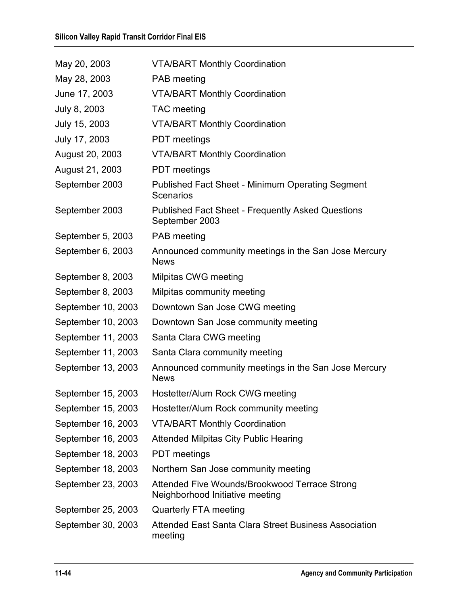| May 20, 2003       | <b>VTA/BART Monthly Coordination</b>                                             |
|--------------------|----------------------------------------------------------------------------------|
| May 28, 2003       | <b>PAB</b> meeting                                                               |
| June 17, 2003      | <b>VTA/BART Monthly Coordination</b>                                             |
| July 8, 2003       | <b>TAC</b> meeting                                                               |
| July 15, 2003      | <b>VTA/BART Monthly Coordination</b>                                             |
| July 17, 2003      | <b>PDT</b> meetings                                                              |
| August 20, 2003    | <b>VTA/BART Monthly Coordination</b>                                             |
| August 21, 2003    | <b>PDT</b> meetings                                                              |
| September 2003     | <b>Published Fact Sheet - Minimum Operating Segment</b><br>Scenarios             |
| September 2003     | <b>Published Fact Sheet - Frequently Asked Questions</b><br>September 2003       |
| September 5, 2003  | <b>PAB</b> meeting                                                               |
| September 6, 2003  | Announced community meetings in the San Jose Mercury<br><b>News</b>              |
| September 8, 2003  | Milpitas CWG meeting                                                             |
| September 8, 2003  | Milpitas community meeting                                                       |
| September 10, 2003 | Downtown San Jose CWG meeting                                                    |
| September 10, 2003 | Downtown San Jose community meeting                                              |
| September 11, 2003 | Santa Clara CWG meeting                                                          |
| September 11, 2003 | Santa Clara community meeting                                                    |
| September 13, 2003 | Announced community meetings in the San Jose Mercury<br><b>News</b>              |
| September 15, 2003 | Hostetter/Alum Rock CWG meeting                                                  |
| September 15, 2003 | Hostetter/Alum Rock community meeting                                            |
| September 16, 2003 | <b>VTA/BART Monthly Coordination</b>                                             |
| September 16, 2003 | <b>Attended Milpitas City Public Hearing</b>                                     |
| September 18, 2003 | <b>PDT</b> meetings                                                              |
| September 18, 2003 | Northern San Jose community meeting                                              |
| September 23, 2003 | Attended Five Wounds/Brookwood Terrace Strong<br>Neighborhood Initiative meeting |
| September 25, 2003 | Quarterly FTA meeting                                                            |
| September 30, 2003 | Attended East Santa Clara Street Business Association<br>meeting                 |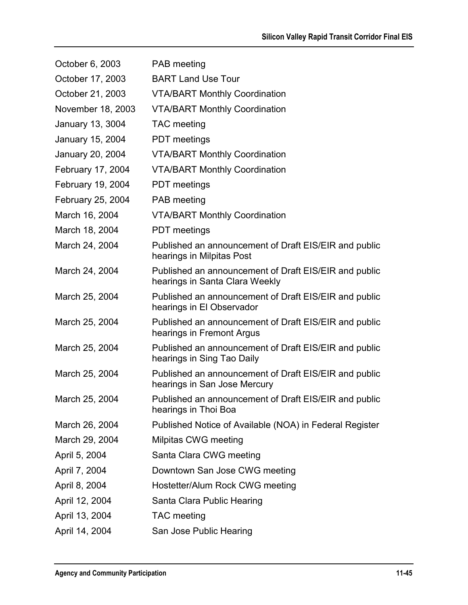| October 6, 2003   | PAB meeting                                                                             |
|-------------------|-----------------------------------------------------------------------------------------|
| October 17, 2003  | <b>BART Land Use Tour</b>                                                               |
| October 21, 2003  | <b>VTA/BART Monthly Coordination</b>                                                    |
| November 18, 2003 | <b>VTA/BART Monthly Coordination</b>                                                    |
| January 13, 3004  | <b>TAC</b> meeting                                                                      |
| January 15, 2004  | <b>PDT</b> meetings                                                                     |
| January 20, 2004  | <b>VTA/BART Monthly Coordination</b>                                                    |
| February 17, 2004 | <b>VTA/BART Monthly Coordination</b>                                                    |
| February 19, 2004 | <b>PDT</b> meetings                                                                     |
| February 25, 2004 | PAB meeting                                                                             |
| March 16, 2004    | <b>VTA/BART Monthly Coordination</b>                                                    |
| March 18, 2004    | <b>PDT</b> meetings                                                                     |
| March 24, 2004    | Published an announcement of Draft EIS/EIR and public<br>hearings in Milpitas Post      |
| March 24, 2004    | Published an announcement of Draft EIS/EIR and public<br>hearings in Santa Clara Weekly |
| March 25, 2004    | Published an announcement of Draft EIS/EIR and public<br>hearings in El Observador      |
| March 25, 2004    | Published an announcement of Draft EIS/EIR and public<br>hearings in Fremont Argus      |
| March 25, 2004    | Published an announcement of Draft EIS/EIR and public<br>hearings in Sing Tao Daily     |
| March 25, 2004    | Published an announcement of Draft EIS/EIR and public<br>hearings in San Jose Mercury   |
| March 25, 2004    | Published an announcement of Draft EIS/EIR and public<br>hearings in Thoi Boa           |
| March 26, 2004    | Published Notice of Available (NOA) in Federal Register                                 |
| March 29, 2004    | Milpitas CWG meeting                                                                    |
| April 5, 2004     | Santa Clara CWG meeting                                                                 |
| April 7, 2004     | Downtown San Jose CWG meeting                                                           |
| April 8, 2004     | Hostetter/Alum Rock CWG meeting                                                         |
| April 12, 2004    | Santa Clara Public Hearing                                                              |
| April 13, 2004    | <b>TAC</b> meeting                                                                      |
| April 14, 2004    | San Jose Public Hearing                                                                 |